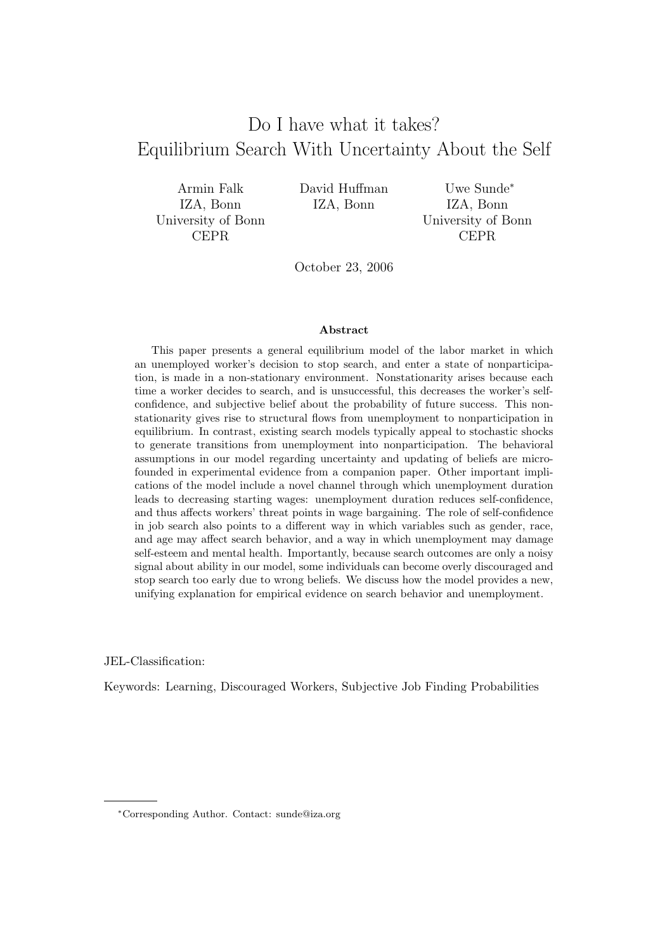# Do I have what it takes? Equilibrium Search With Uncertainty About the Self

Armin Falk IZA, Bonn University of Bonn CEPR

David Huffman IZA, Bonn

Uwe Sunde<sup>∗</sup> IZA, Bonn University of Bonn CEPR

October 23, 2006

#### Abstract

This paper presents a general equilibrium model of the labor market in which an unemployed worker's decision to stop search, and enter a state of nonparticipation, is made in a non-stationary environment. Nonstationarity arises because each time a worker decides to search, and is unsuccessful, this decreases the worker's selfconfidence, and subjective belief about the probability of future success. This nonstationarity gives rise to structural flows from unemployment to nonparticipation in equilibrium. In contrast, existing search models typically appeal to stochastic shocks to generate transitions from unemployment into nonparticipation. The behavioral assumptions in our model regarding uncertainty and updating of beliefs are microfounded in experimental evidence from a companion paper. Other important implications of the model include a novel channel through which unemployment duration leads to decreasing starting wages: unemployment duration reduces self-confidence, and thus affects workers' threat points in wage bargaining. The role of self-confidence in job search also points to a different way in which variables such as gender, race, and age may affect search behavior, and a way in which unemployment may damage self-esteem and mental health. Importantly, because search outcomes are only a noisy signal about ability in our model, some individuals can become overly discouraged and stop search too early due to wrong beliefs. We discuss how the model provides a new, unifying explanation for empirical evidence on search behavior and unemployment.

JEL-Classification:

Keywords: Learning, Discouraged Workers, Subjective Job Finding Probabilities

<sup>∗</sup>Corresponding Author. Contact: sunde@iza.org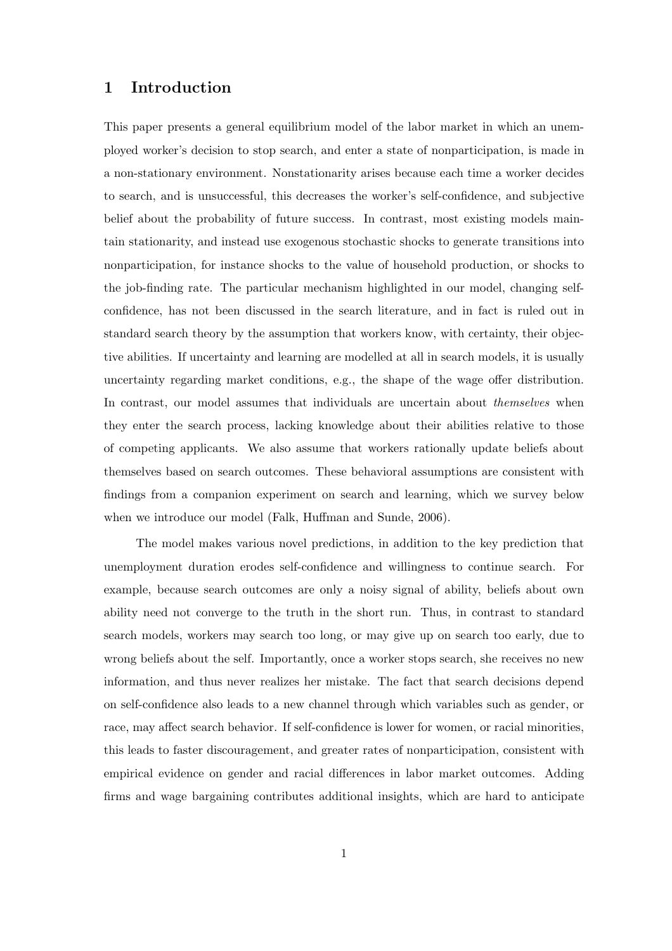## **1 Introduction**

This paper presents a general equilibrium model of the labor market in which an unemployed worker's decision to stop search, and enter a state of nonparticipation, is made in a non-stationary environment. Nonstationarity arises because each time a worker decides to search, and is unsuccessful, this decreases the worker's self-confidence, and subjective belief about the probability of future success. In contrast, most existing models maintain stationarity, and instead use exogenous stochastic shocks to generate transitions into nonparticipation, for instance shocks to the value of household production, or shocks to the job-finding rate. The particular mechanism highlighted in our model, changing selfconfidence, has not been discussed in the search literature, and in fact is ruled out in standard search theory by the assumption that workers know, with certainty, their objective abilities. If uncertainty and learning are modelled at all in search models, it is usually uncertainty regarding market conditions, e.g., the shape of the wage offer distribution. In contrast, our model assumes that individuals are uncertain about *themselves* when they enter the search process, lacking knowledge about their abilities relative to those of competing applicants. We also assume that workers rationally update beliefs about themselves based on search outcomes. These behavioral assumptions are consistent with findings from a companion experiment on search and learning, which we survey below when we introduce our model (Falk, Huffman and Sunde, 2006).

The model makes various novel predictions, in addition to the key prediction that unemployment duration erodes self-confidence and willingness to continue search. For example, because search outcomes are only a noisy signal of ability, beliefs about own ability need not converge to the truth in the short run. Thus, in contrast to standard search models, workers may search too long, or may give up on search too early, due to wrong beliefs about the self. Importantly, once a worker stops search, she receives no new information, and thus never realizes her mistake. The fact that search decisions depend on self-confidence also leads to a new channel through which variables such as gender, or race, may affect search behavior. If self-confidence is lower for women, or racial minorities, this leads to faster discouragement, and greater rates of nonparticipation, consistent with empirical evidence on gender and racial differences in labor market outcomes. Adding firms and wage bargaining contributes additional insights, which are hard to anticipate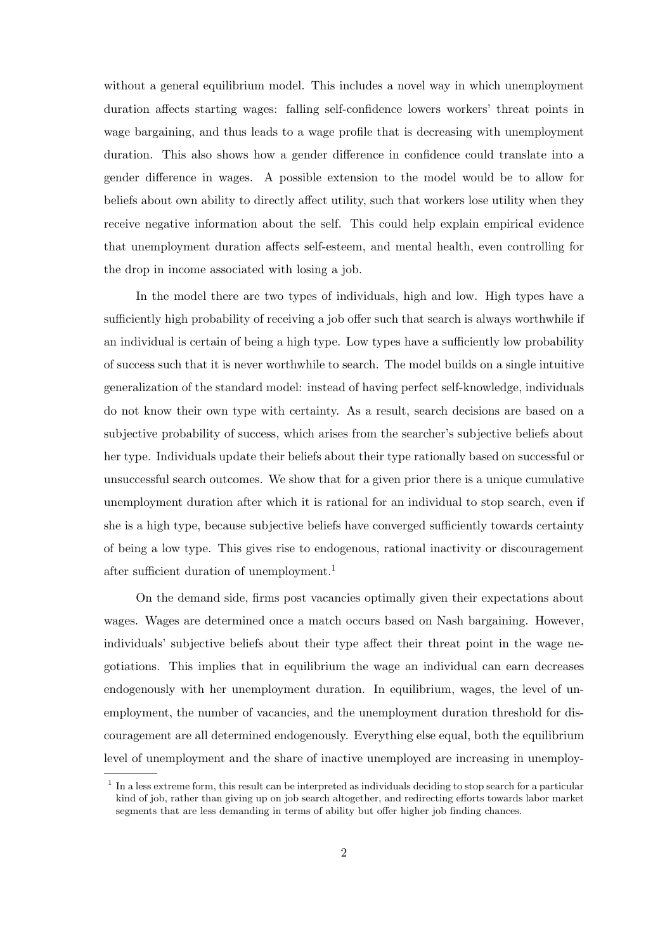without a general equilibrium model. This includes a novel way in which unemployment duration affects starting wages: falling self-confidence lowers workers' threat points in wage bargaining, and thus leads to a wage profile that is decreasing with unemployment duration. This also shows how a gender difference in confidence could translate into a gender difference in wages. A possible extension to the model would be to allow for beliefs about own ability to directly affect utility, such that workers lose utility when they receive negative information about the self. This could help explain empirical evidence that unemployment duration affects self-esteem, and mental health, even controlling for the drop in income associated with losing a job.

In the model there are two types of individuals, high and low. High types have a sufficiently high probability of receiving a job offer such that search is always worthwhile if an individual is certain of being a high type. Low types have a sufficiently low probability of success such that it is never worthwhile to search. The model builds on a single intuitive generalization of the standard model: instead of having perfect self-knowledge, individuals do not know their own type with certainty. As a result, search decisions are based on a subjective probability of success, which arises from the searcher's subjective beliefs about her type. Individuals update their beliefs about their type rationally based on successful or unsuccessful search outcomes. We show that for a given prior there is a unique cumulative unemployment duration after which it is rational for an individual to stop search, even if she is a high type, because subjective beliefs have converged sufficiently towards certainty of being a low type. This gives rise to endogenous, rational inactivity or discouragement after sufficient duration of unemployment.<sup>1</sup>

On the demand side, firms post vacancies optimally given their expectations about wages. Wages are determined once a match occurs based on Nash bargaining. However, individuals' subjective beliefs about their type affect their threat point in the wage negotiations. This implies that in equilibrium the wage an individual can earn decreases endogenously with her unemployment duration. In equilibrium, wages, the level of unemployment, the number of vacancies, and the unemployment duration threshold for discouragement are all determined endogenously. Everything else equal, both the equilibrium level of unemployment and the share of inactive unemployed are increasing in unemploy-

<sup>1</sup> In a less extreme form, this result can be interpreted as individuals deciding to stop search for a particular kind of job, rather than giving up on job search altogether, and redirecting efforts towards labor market segments that are less demanding in terms of ability but offer higher job finding chances.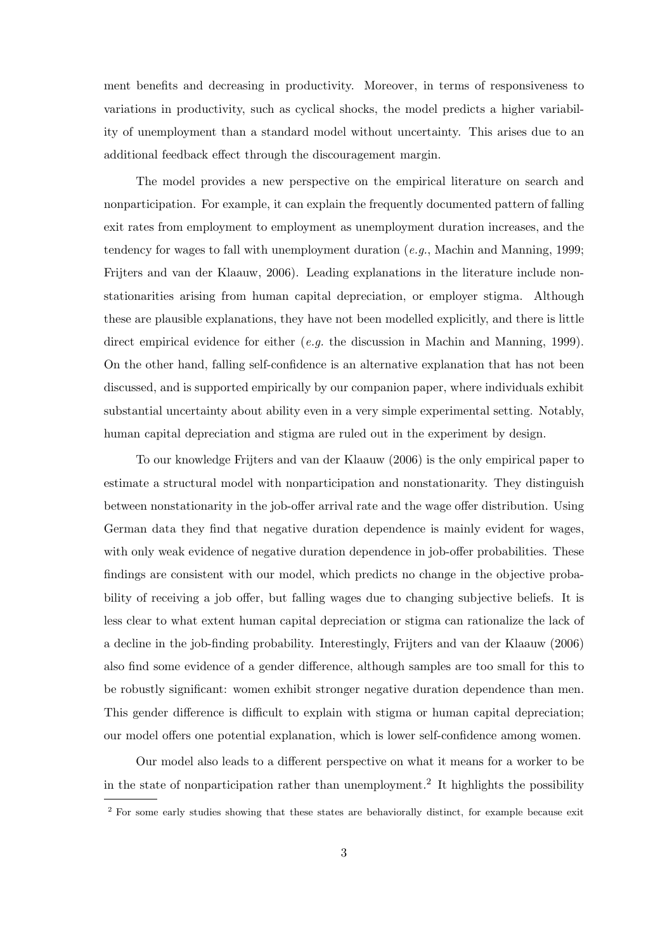ment benefits and decreasing in productivity. Moreover, in terms of responsiveness to variations in productivity, such as cyclical shocks, the model predicts a higher variability of unemployment than a standard model without uncertainty. This arises due to an additional feedback effect through the discouragement margin.

The model provides a new perspective on the empirical literature on search and nonparticipation. For example, it can explain the frequently documented pattern of falling exit rates from employment to employment as unemployment duration increases, and the tendency for wages to fall with unemployment duration (*e.g.*, Machin and Manning, 1999; Frijters and van der Klaauw, 2006). Leading explanations in the literature include nonstationarities arising from human capital depreciation, or employer stigma. Although these are plausible explanations, they have not been modelled explicitly, and there is little direct empirical evidence for either (*e.g.* the discussion in Machin and Manning, 1999). On the other hand, falling self-confidence is an alternative explanation that has not been discussed, and is supported empirically by our companion paper, where individuals exhibit substantial uncertainty about ability even in a very simple experimental setting. Notably, human capital depreciation and stigma are ruled out in the experiment by design.

To our knowledge Frijters and van der Klaauw (2006) is the only empirical paper to estimate a structural model with nonparticipation and nonstationarity. They distinguish between nonstationarity in the job-offer arrival rate and the wage offer distribution. Using German data they find that negative duration dependence is mainly evident for wages, with only weak evidence of negative duration dependence in job-offer probabilities. These findings are consistent with our model, which predicts no change in the objective probability of receiving a job offer, but falling wages due to changing subjective beliefs. It is less clear to what extent human capital depreciation or stigma can rationalize the lack of a decline in the job-finding probability. Interestingly, Frijters and van der Klaauw (2006) also find some evidence of a gender difference, although samples are too small for this to be robustly significant: women exhibit stronger negative duration dependence than men. This gender difference is difficult to explain with stigma or human capital depreciation; our model offers one potential explanation, which is lower self-confidence among women.

Our model also leads to a different perspective on what it means for a worker to be in the state of nonparticipation rather than unemployment.<sup>2</sup> It highlights the possibility

<sup>&</sup>lt;sup>2</sup> For some early studies showing that these states are behaviorally distinct, for example because exit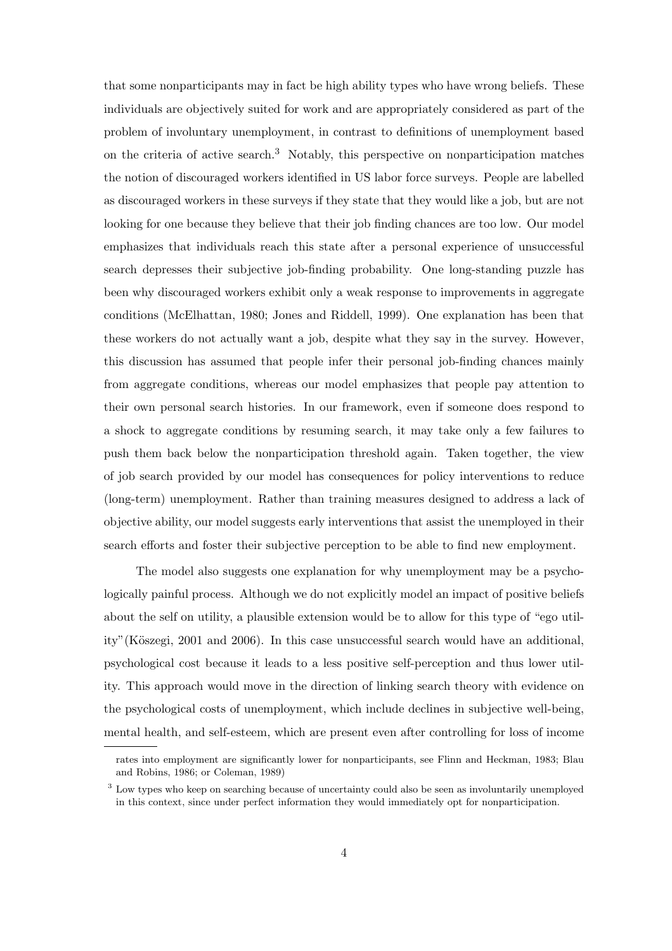that some nonparticipants may in fact be high ability types who have wrong beliefs. These individuals are objectively suited for work and are appropriately considered as part of the problem of involuntary unemployment, in contrast to definitions of unemployment based on the criteria of active search.<sup>3</sup> Notably, this perspective on nonparticipation matches the notion of discouraged workers identified in US labor force surveys. People are labelled as discouraged workers in these surveys if they state that they would like a job, but are not looking for one because they believe that their job finding chances are too low. Our model emphasizes that individuals reach this state after a personal experience of unsuccessful search depresses their subjective job-finding probability. One long-standing puzzle has been why discouraged workers exhibit only a weak response to improvements in aggregate conditions (McElhattan, 1980; Jones and Riddell, 1999). One explanation has been that these workers do not actually want a job, despite what they say in the survey. However, this discussion has assumed that people infer their personal job-finding chances mainly from aggregate conditions, whereas our model emphasizes that people pay attention to their own personal search histories. In our framework, even if someone does respond to a shock to aggregate conditions by resuming search, it may take only a few failures to push them back below the nonparticipation threshold again. Taken together, the view of job search provided by our model has consequences for policy interventions to reduce (long-term) unemployment. Rather than training measures designed to address a lack of objective ability, our model suggests early interventions that assist the unemployed in their search efforts and foster their subjective perception to be able to find new employment.

The model also suggests one explanation for why unemployment may be a psychologically painful process. Although we do not explicitly model an impact of positive beliefs about the self on utility, a plausible extension would be to allow for this type of "ego utility" (Köszegi, 2001 and 2006). In this case unsuccessful search would have an additional, psychological cost because it leads to a less positive self-perception and thus lower utility. This approach would move in the direction of linking search theory with evidence on the psychological costs of unemployment, which include declines in subjective well-being, mental health, and self-esteem, which are present even after controlling for loss of income

rates into employment are significantly lower for nonparticipants, see Flinn and Heckman, 1983; Blau and Robins, 1986; or Coleman, 1989)

<sup>3</sup> Low types who keep on searching because of uncertainty could also be seen as involuntarily unemployed in this context, since under perfect information they would immediately opt for nonparticipation.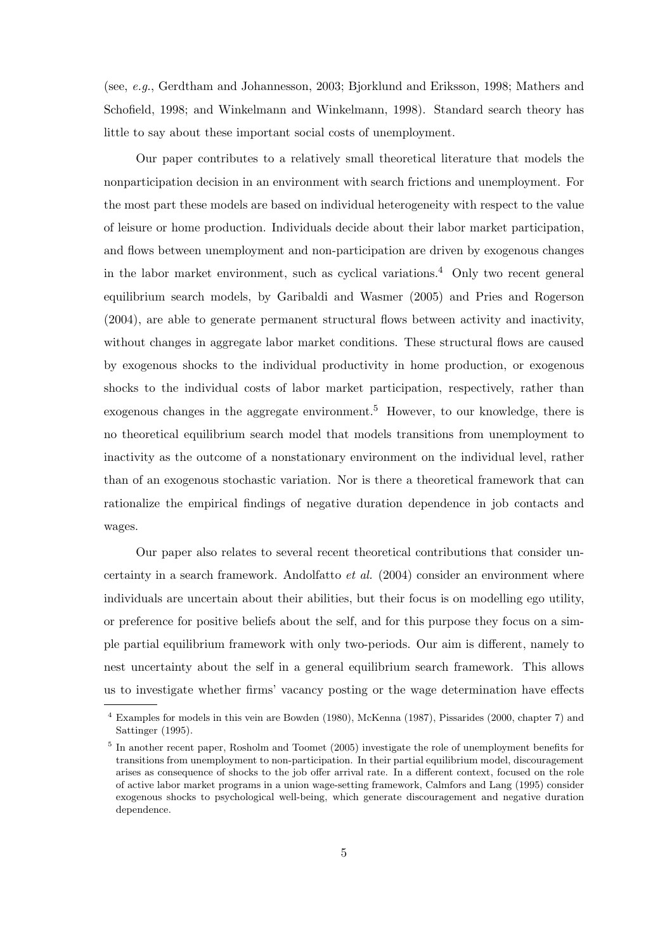(see, *e.g.*, Gerdtham and Johannesson, 2003; Bjorklund and Eriksson, 1998; Mathers and Schofield, 1998; and Winkelmann and Winkelmann, 1998). Standard search theory has little to say about these important social costs of unemployment.

Our paper contributes to a relatively small theoretical literature that models the nonparticipation decision in an environment with search frictions and unemployment. For the most part these models are based on individual heterogeneity with respect to the value of leisure or home production. Individuals decide about their labor market participation, and flows between unemployment and non-participation are driven by exogenous changes in the labor market environment, such as cyclical variations.<sup>4</sup> Only two recent general equilibrium search models, by Garibaldi and Wasmer (2005) and Pries and Rogerson (2004), are able to generate permanent structural flows between activity and inactivity, without changes in aggregate labor market conditions. These structural flows are caused by exogenous shocks to the individual productivity in home production, or exogenous shocks to the individual costs of labor market participation, respectively, rather than exogenous changes in the aggregate environment.<sup>5</sup> However, to our knowledge, there is no theoretical equilibrium search model that models transitions from unemployment to inactivity as the outcome of a nonstationary environment on the individual level, rather than of an exogenous stochastic variation. Nor is there a theoretical framework that can rationalize the empirical findings of negative duration dependence in job contacts and wages.

Our paper also relates to several recent theoretical contributions that consider uncertainty in a search framework. Andolfatto *et al.* (2004) consider an environment where individuals are uncertain about their abilities, but their focus is on modelling ego utility, or preference for positive beliefs about the self, and for this purpose they focus on a simple partial equilibrium framework with only two-periods. Our aim is different, namely to nest uncertainty about the self in a general equilibrium search framework. This allows us to investigate whether firms' vacancy posting or the wage determination have effects

<sup>4</sup> Examples for models in this vein are Bowden (1980), McKenna (1987), Pissarides (2000, chapter 7) and Sattinger (1995).

<sup>&</sup>lt;sup>5</sup> In another recent paper, Rosholm and Toomet (2005) investigate the role of unemployment benefits for transitions from unemployment to non-participation. In their partial equilibrium model, discouragement arises as consequence of shocks to the job offer arrival rate. In a different context, focused on the role of active labor market programs in a union wage-setting framework, Calmfors and Lang (1995) consider exogenous shocks to psychological well-being, which generate discouragement and negative duration dependence.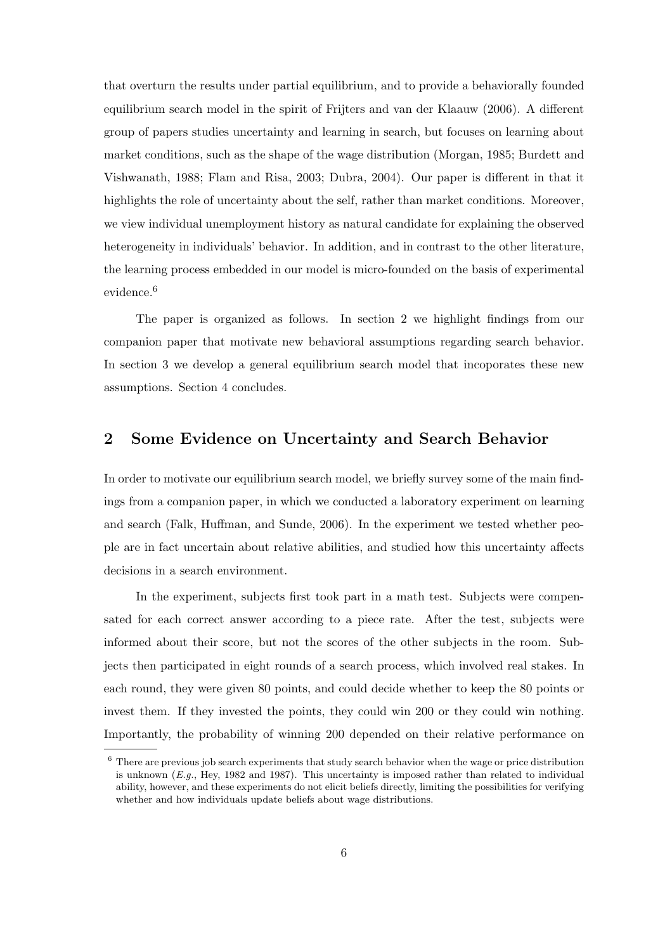that overturn the results under partial equilibrium, and to provide a behaviorally founded equilibrium search model in the spirit of Frijters and van der Klaauw (2006). A different group of papers studies uncertainty and learning in search, but focuses on learning about market conditions, such as the shape of the wage distribution (Morgan, 1985; Burdett and Vishwanath, 1988; Flam and Risa, 2003; Dubra, 2004). Our paper is different in that it highlights the role of uncertainty about the self, rather than market conditions. Moreover, we view individual unemployment history as natural candidate for explaining the observed heterogeneity in individuals' behavior. In addition, and in contrast to the other literature, the learning process embedded in our model is micro-founded on the basis of experimental evidence.<sup>6</sup>

The paper is organized as follows. In section 2 we highlight findings from our companion paper that motivate new behavioral assumptions regarding search behavior. In section 3 we develop a general equilibrium search model that incoporates these new assumptions. Section 4 concludes.

## **2 Some Evidence on Uncertainty and Search Behavior**

In order to motivate our equilibrium search model, we briefly survey some of the main findings from a companion paper, in which we conducted a laboratory experiment on learning and search (Falk, Huffman, and Sunde, 2006). In the experiment we tested whether people are in fact uncertain about relative abilities, and studied how this uncertainty affects decisions in a search environment.

In the experiment, subjects first took part in a math test. Subjects were compensated for each correct answer according to a piece rate. After the test, subjects were informed about their score, but not the scores of the other subjects in the room. Subjects then participated in eight rounds of a search process, which involved real stakes. In each round, they were given 80 points, and could decide whether to keep the 80 points or invest them. If they invested the points, they could win 200 or they could win nothing. Importantly, the probability of winning 200 depended on their relative performance on

<sup>6</sup> There are previous job search experiments that study search behavior when the wage or price distribution is unknown (*E.g.*, Hey, 1982 and 1987). This uncertainty is imposed rather than related to individual ability, however, and these experiments do not elicit beliefs directly, limiting the possibilities for verifying whether and how individuals update beliefs about wage distributions.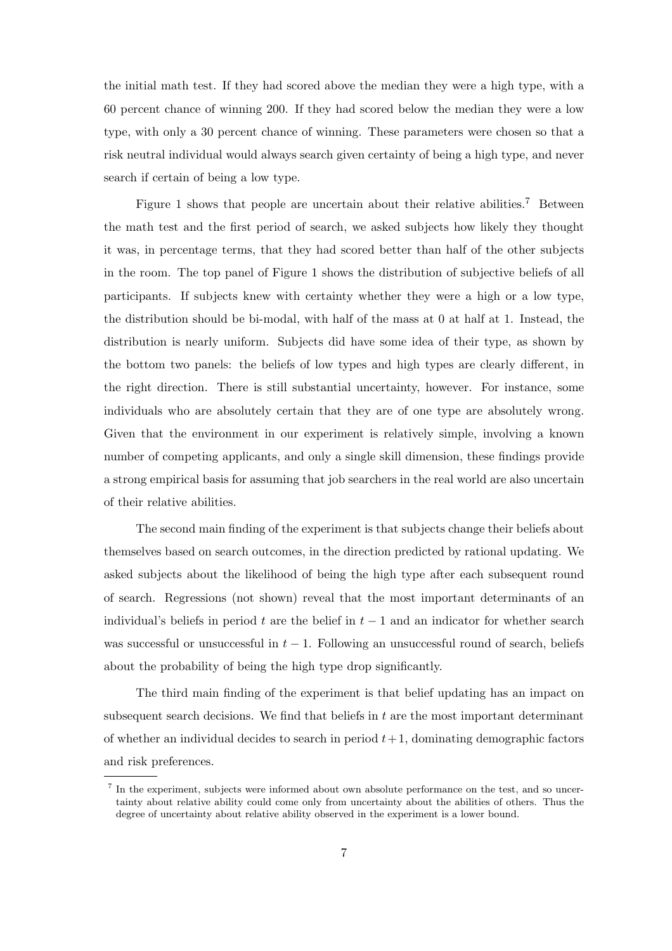the initial math test. If they had scored above the median they were a high type, with a 60 percent chance of winning 200. If they had scored below the median they were a low type, with only a 30 percent chance of winning. These parameters were chosen so that a risk neutral individual would always search given certainty of being a high type, and never search if certain of being a low type.

Figure 1 shows that people are uncertain about their relative abilities.<sup>7</sup> Between the math test and the first period of search, we asked subjects how likely they thought it was, in percentage terms, that they had scored better than half of the other subjects in the room. The top panel of Figure 1 shows the distribution of subjective beliefs of all participants. If subjects knew with certainty whether they were a high or a low type, the distribution should be bi-modal, with half of the mass at 0 at half at 1. Instead, the distribution is nearly uniform. Subjects did have some idea of their type, as shown by the bottom two panels: the beliefs of low types and high types are clearly different, in the right direction. There is still substantial uncertainty, however. For instance, some individuals who are absolutely certain that they are of one type are absolutely wrong. Given that the environment in our experiment is relatively simple, involving a known number of competing applicants, and only a single skill dimension, these findings provide a strong empirical basis for assuming that job searchers in the real world are also uncertain of their relative abilities.

The second main finding of the experiment is that subjects change their beliefs about themselves based on search outcomes, in the direction predicted by rational updating. We asked subjects about the likelihood of being the high type after each subsequent round of search. Regressions (not shown) reveal that the most important determinants of an individual's beliefs in period t are the belief in  $t-1$  and an indicator for whether search was successful or unsuccessful in  $t - 1$ . Following an unsuccessful round of search, beliefs about the probability of being the high type drop significantly.

The third main finding of the experiment is that belief updating has an impact on subsequent search decisions. We find that beliefs in t are the most important determinant of whether an individual decides to search in period  $t + 1$ , dominating demographic factors and risk preferences.

<sup>7</sup> In the experiment, subjects were informed about own absolute performance on the test, and so uncertainty about relative ability could come only from uncertainty about the abilities of others. Thus the degree of uncertainty about relative ability observed in the experiment is a lower bound.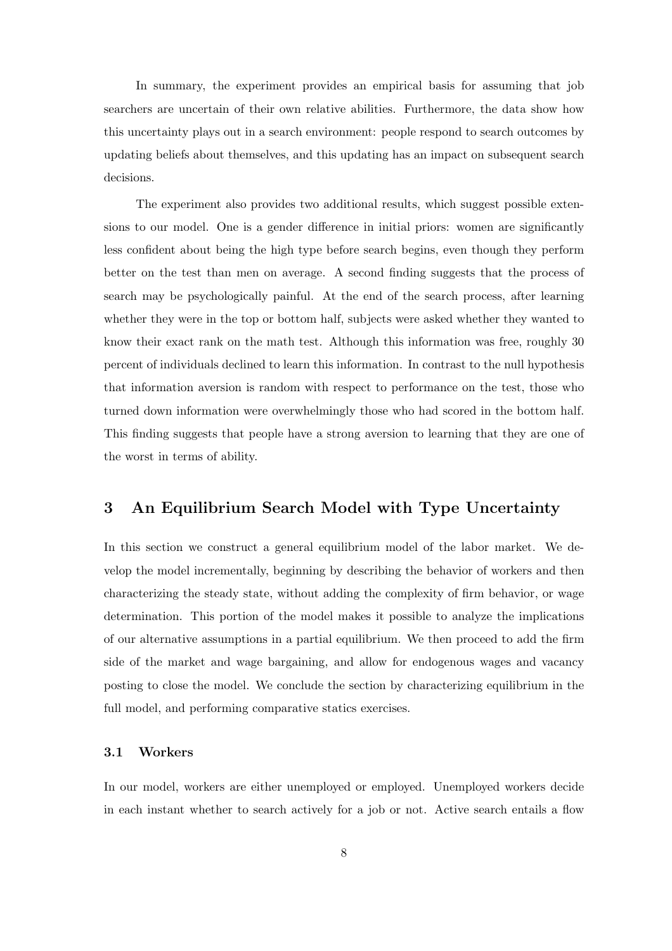In summary, the experiment provides an empirical basis for assuming that job searchers are uncertain of their own relative abilities. Furthermore, the data show how this uncertainty plays out in a search environment: people respond to search outcomes by updating beliefs about themselves, and this updating has an impact on subsequent search decisions.

The experiment also provides two additional results, which suggest possible extensions to our model. One is a gender difference in initial priors: women are significantly less confident about being the high type before search begins, even though they perform better on the test than men on average. A second finding suggests that the process of search may be psychologically painful. At the end of the search process, after learning whether they were in the top or bottom half, subjects were asked whether they wanted to know their exact rank on the math test. Although this information was free, roughly 30 percent of individuals declined to learn this information. In contrast to the null hypothesis that information aversion is random with respect to performance on the test, those who turned down information were overwhelmingly those who had scored in the bottom half. This finding suggests that people have a strong aversion to learning that they are one of the worst in terms of ability.

## **3 An Equilibrium Search Model with Type Uncertainty**

In this section we construct a general equilibrium model of the labor market. We develop the model incrementally, beginning by describing the behavior of workers and then characterizing the steady state, without adding the complexity of firm behavior, or wage determination. This portion of the model makes it possible to analyze the implications of our alternative assumptions in a partial equilibrium. We then proceed to add the firm side of the market and wage bargaining, and allow for endogenous wages and vacancy posting to close the model. We conclude the section by characterizing equilibrium in the full model, and performing comparative statics exercises.

#### **3.1 Workers**

In our model, workers are either unemployed or employed. Unemployed workers decide in each instant whether to search actively for a job or not. Active search entails a flow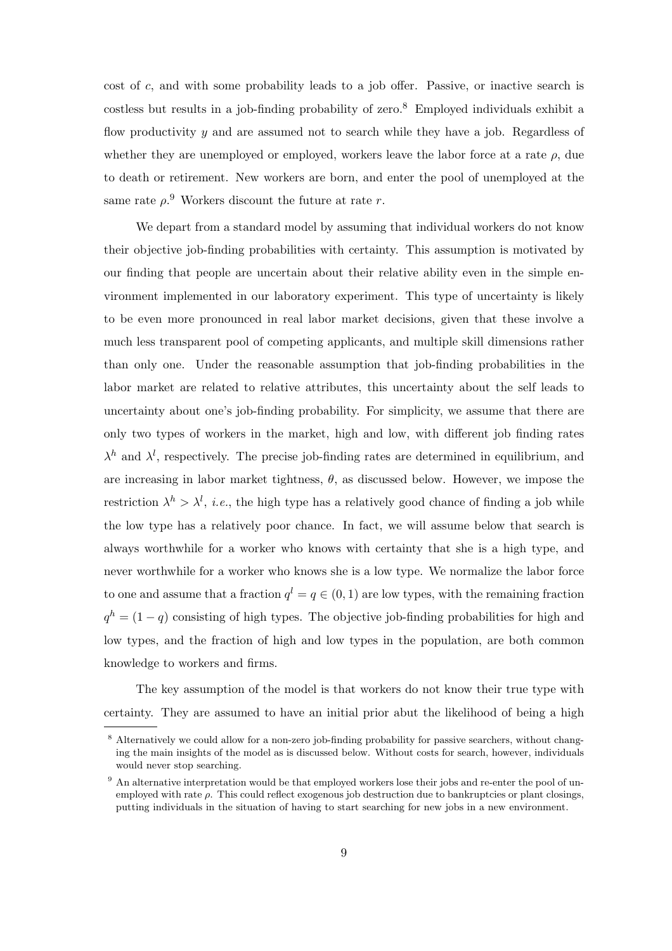cost of c, and with some probability leads to a job offer. Passive, or inactive search is costless but results in a job-finding probability of zero.<sup>8</sup> Employed individuals exhibit a flow productivity  $y$  and are assumed not to search while they have a job. Regardless of whether they are unemployed or employed, workers leave the labor force at a rate  $\rho$ , due to death or retirement. New workers are born, and enter the pool of unemployed at the same rate  $\rho$ <sup>9</sup>. Workers discount the future at rate r.

We depart from a standard model by assuming that individual workers do not know their objective job-finding probabilities with certainty. This assumption is motivated by our finding that people are uncertain about their relative ability even in the simple environment implemented in our laboratory experiment. This type of uncertainty is likely to be even more pronounced in real labor market decisions, given that these involve a much less transparent pool of competing applicants, and multiple skill dimensions rather than only one. Under the reasonable assumption that job-finding probabilities in the labor market are related to relative attributes, this uncertainty about the self leads to uncertainty about one's job-finding probability. For simplicity, we assume that there are only two types of workers in the market, high and low, with different job finding rates  $\lambda^h$  and  $\lambda^l$ , respectively. The precise job-finding rates are determined in equilibrium, and are increasing in labor market tightness,  $\theta$ , as discussed below. However, we impose the restriction  $\lambda^h > \lambda^l$ , *i.e.*, the high type has a relatively good chance of finding a job while the low type has a relatively poor chance. In fact, we will assume below that search is always worthwhile for a worker who knows with certainty that she is a high type, and never worthwhile for a worker who knows she is a low type. We normalize the labor force to one and assume that a fraction  $q^l = q \in (0, 1)$  are low types, with the remaining fraction  $q^h = (1 - q)$  consisting of high types. The objective job-finding probabilities for high and low types, and the fraction of high and low types in the population, are both common knowledge to workers and firms.

The key assumption of the model is that workers do not know their true type with certainty. They are assumed to have an initial prior abut the likelihood of being a high

<sup>&</sup>lt;sup>8</sup> Alternatively we could allow for a non-zero job-finding probability for passive searchers, without changing the main insights of the model as is discussed below. Without costs for search, however, individuals would never stop searching.

<sup>&</sup>lt;sup>9</sup> An alternative interpretation would be that employed workers lose their jobs and re-enter the pool of unemployed with rate ρ. This could reflect exogenous job destruction due to bankruptcies or plant closings, putting individuals in the situation of having to start searching for new jobs in a new environment.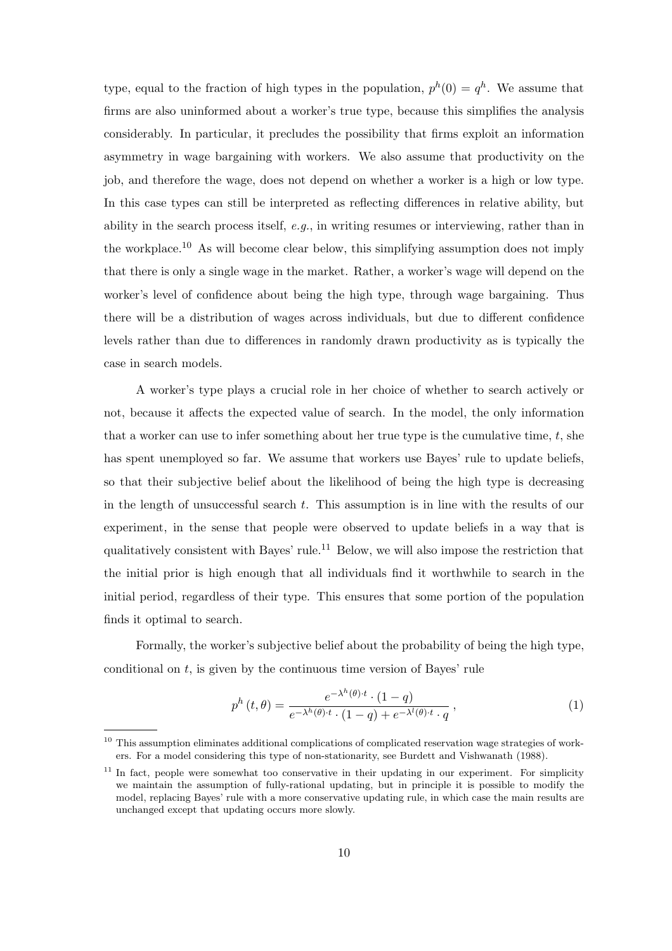type, equal to the fraction of high types in the population,  $p^h(0) = q^h$ . We assume that firms are also uninformed about a worker's true type, because this simplifies the analysis considerably. In particular, it precludes the possibility that firms exploit an information asymmetry in wage bargaining with workers. We also assume that productivity on the job, and therefore the wage, does not depend on whether a worker is a high or low type. In this case types can still be interpreted as reflecting differences in relative ability, but ability in the search process itself, *e.g.*, in writing resumes or interviewing, rather than in the workplace.<sup>10</sup> As will become clear below, this simplifying assumption does not imply that there is only a single wage in the market. Rather, a worker's wage will depend on the worker's level of confidence about being the high type, through wage bargaining. Thus there will be a distribution of wages across individuals, but due to different confidence levels rather than due to differences in randomly drawn productivity as is typically the case in search models.

A worker's type plays a crucial role in her choice of whether to search actively or not, because it affects the expected value of search. In the model, the only information that a worker can use to infer something about her true type is the cumulative time,  $t$ , she has spent unemployed so far. We assume that workers use Bayes' rule to update beliefs, so that their subjective belief about the likelihood of being the high type is decreasing in the length of unsuccessful search  $t$ . This assumption is in line with the results of our experiment, in the sense that people were observed to update beliefs in a way that is qualitatively consistent with Bayes' rule.<sup>11</sup> Below, we will also impose the restriction that the initial prior is high enough that all individuals find it worthwhile to search in the initial period, regardless of their type. This ensures that some portion of the population finds it optimal to search.

Formally, the worker's subjective belief about the probability of being the high type, conditional on  $t$ , is given by the continuous time version of Bayes' rule

$$
p^{h}\left(t,\theta\right) = \frac{e^{-\lambda^{h}\left(\theta\right)\cdot t} \cdot (1-q)}{e^{-\lambda^{h}\left(\theta\right)\cdot t} \cdot (1-q) + e^{-\lambda^{l}\left(\theta\right)\cdot t} \cdot q},\tag{1}
$$

 $10$  This assumption eliminates additional complications of complicated reservation wage strategies of workers. For a model considering this type of non-stationarity, see Burdett and Vishwanath (1988).

<sup>&</sup>lt;sup>11</sup> In fact, people were somewhat too conservative in their updating in our experiment. For simplicity we maintain the assumption of fully-rational updating, but in principle it is possible to modify the model, replacing Bayes' rule with a more conservative updating rule, in which case the main results are unchanged except that updating occurs more slowly.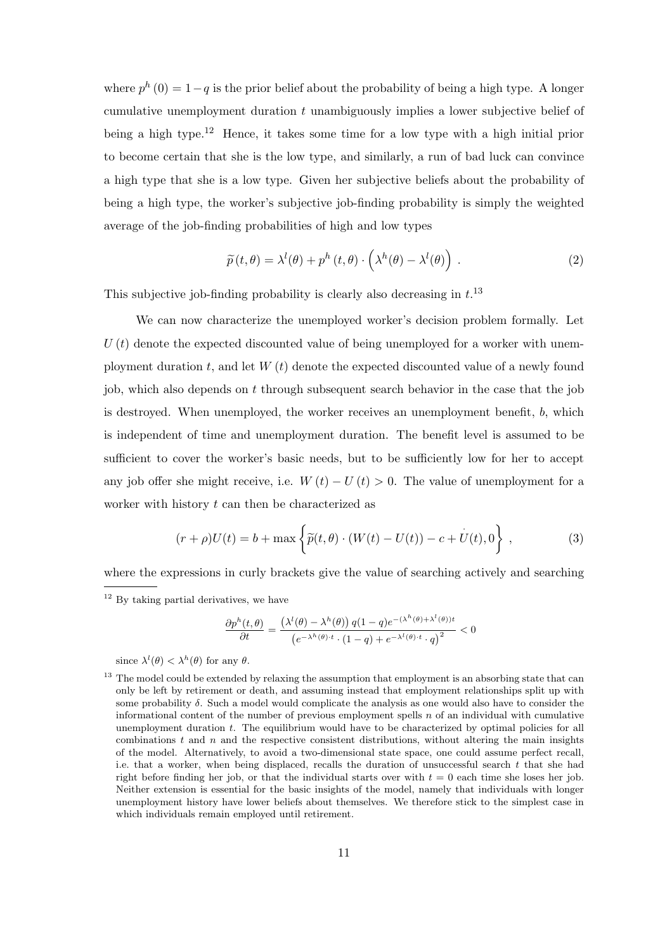where  $p^{h}(0) = 1-q$  is the prior belief about the probability of being a high type. A longer cumulative unemployment duration  $t$  unambiguously implies a lower subjective belief of being a high type.<sup>12</sup> Hence, it takes some time for a low type with a high initial prior to become certain that she is the low type, and similarly, a run of bad luck can convince a high type that she is a low type. Given her subjective beliefs about the probability of being a high type, the worker's subjective job-finding probability is simply the weighted average of the job-finding probabilities of high and low types

$$
\widetilde{p}(t,\theta) = \lambda^{l}(\theta) + p^{h}(t,\theta) \cdot \left(\lambda^{h}(\theta) - \lambda^{l}(\theta)\right).
$$
\n(2)

This subjective job-finding probability is clearly also decreasing in  $t^{13}$ .

We can now characterize the unemployed worker's decision problem formally. Let  $U(t)$  denote the expected discounted value of being unemployed for a worker with unemployment duration t, and let  $W(t)$  denote the expected discounted value of a newly found job, which also depends on t through subsequent search behavior in the case that the job is destroyed. When unemployed, the worker receives an unemployment benefit, b, which is independent of time and unemployment duration. The benefit level is assumed to be sufficient to cover the worker's basic needs, but to be sufficiently low for her to accept any job offer she might receive, i.e.  $W(t) - U(t) > 0$ . The value of unemployment for a worker with history  $t$  can then be characterized as

$$
(r+\rho)U(t) = b + \max \left\{ \widetilde{p}(t,\theta) \cdot (W(t) - U(t)) - c + U(t), 0 \right\},
$$
 (3)

where the expressions in curly brackets give the value of searching actively and searching

$$
\frac{\partial p^h(t,\theta)}{\partial t} = \frac{\left(\lambda^l(\theta) - \lambda^h(\theta)\right)q(1-q)e^{-(\lambda^h(\theta) + \lambda^l(\theta))t}}{\left(e^{-\lambda^h(\theta) \cdot t} \cdot (1-q) + e^{-\lambda^l(\theta) \cdot t} \cdot q\right)^2} < 0
$$

since  $\lambda^l(\theta) < \lambda^h(\theta)$  for any  $\theta$ .

 $12$  By taking partial derivatives, we have

<sup>&</sup>lt;sup>13</sup> The model could be extended by relaxing the assumption that employment is an absorbing state that can only be left by retirement or death, and assuming instead that employment relationships split up with some probability  $\delta$ . Such a model would complicate the analysis as one would also have to consider the informational content of the number of previous employment spells  $n$  of an individual with cumulative unemployment duration t. The equilibrium would have to be characterized by optimal policies for all combinations  $t$  and  $n$  and the respective consistent distributions, without altering the main insights of the model. Alternatively, to avoid a two-dimensional state space, one could assume perfect recall, i.e. that a worker, when being displaced, recalls the duration of unsuccessful search  $t$  that she had right before finding her job, or that the individual starts over with  $t = 0$  each time she loses her job. Neither extension is essential for the basic insights of the model, namely that individuals with longer unemployment history have lower beliefs about themselves. We therefore stick to the simplest case in which individuals remain employed until retirement.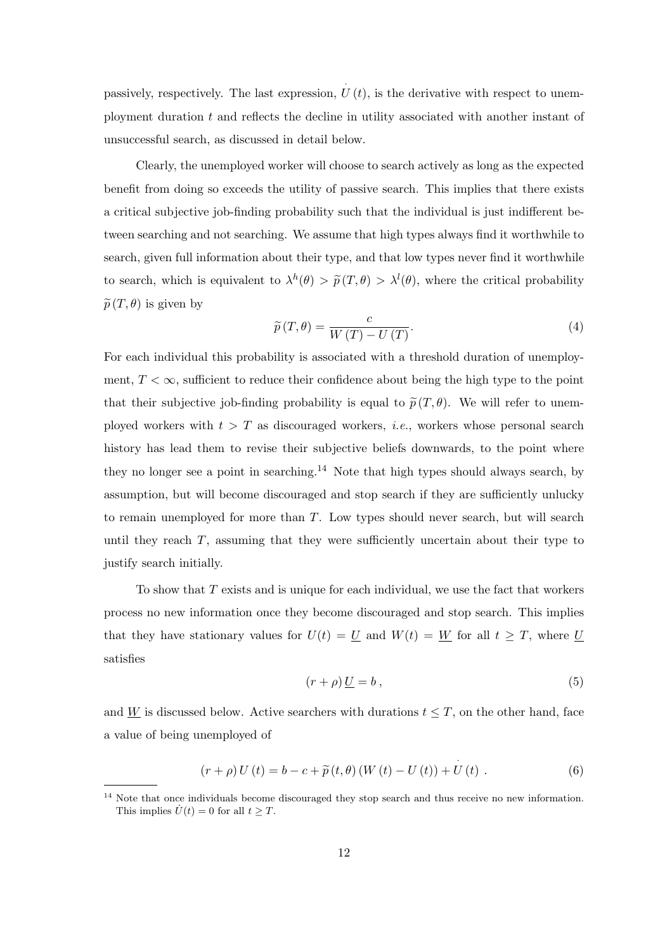passively, respectively. The last expression,  $\hat{U}(t)$ , is the derivative with respect to unemployment duration  $t$  and reflects the decline in utility associated with another instant of unsuccessful search, as discussed in detail below.

Clearly, the unemployed worker will choose to search actively as long as the expected benefit from doing so exceeds the utility of passive search. This implies that there exists a critical subjective job-finding probability such that the individual is just indifferent between searching and not searching. We assume that high types always find it worthwhile to search, given full information about their type, and that low types never find it worthwhile to search, which is equivalent to  $\lambda^h(\theta) > \tilde{p}(T,\theta) > \lambda^l(\theta)$ , where the critical probability  $\tilde{p}(T,\theta)$  is given by

$$
\widetilde{p}(T,\theta) = \frac{c}{W(T) - U(T)}.\tag{4}
$$

For each individual this probability is associated with a threshold duration of unemployment,  $T < \infty$ , sufficient to reduce their confidence about being the high type to the point that their subjective job-finding probability is equal to  $\tilde{p}(T,\theta)$ . We will refer to unemployed workers with  $t>T$  as discouraged workers, *i.e.*, workers whose personal search history has lead them to revise their subjective beliefs downwards, to the point where they no longer see a point in searching.<sup>14</sup> Note that high types should always search, by assumption, but will become discouraged and stop search if they are sufficiently unlucky to remain unemployed for more than T. Low types should never search, but will search until they reach  $T$ , assuming that they were sufficiently uncertain about their type to justify search initially.

To show that T exists and is unique for each individual, we use the fact that workers process no new information once they become discouraged and stop search. This implies that they have stationary values for  $U(t) = U$  and  $W(t) = W$  for all  $t \geq T$ , where U satisfies

$$
(r+\rho)\underline{U}=b\,,\tag{5}
$$

and W is discussed below. Active searchers with durations  $t \leq T$ , on the other hand, face a value of being unemployed of

$$
(r + \rho) U(t) = b - c + \widetilde{p}(t, \theta) (W(t) - U(t)) + U(t) . \qquad (6)
$$

 $14$  Note that once individuals become discouraged they stop search and thus receive no new information. This implies  $\dot{U}(t) = 0$  for all  $t > T$ .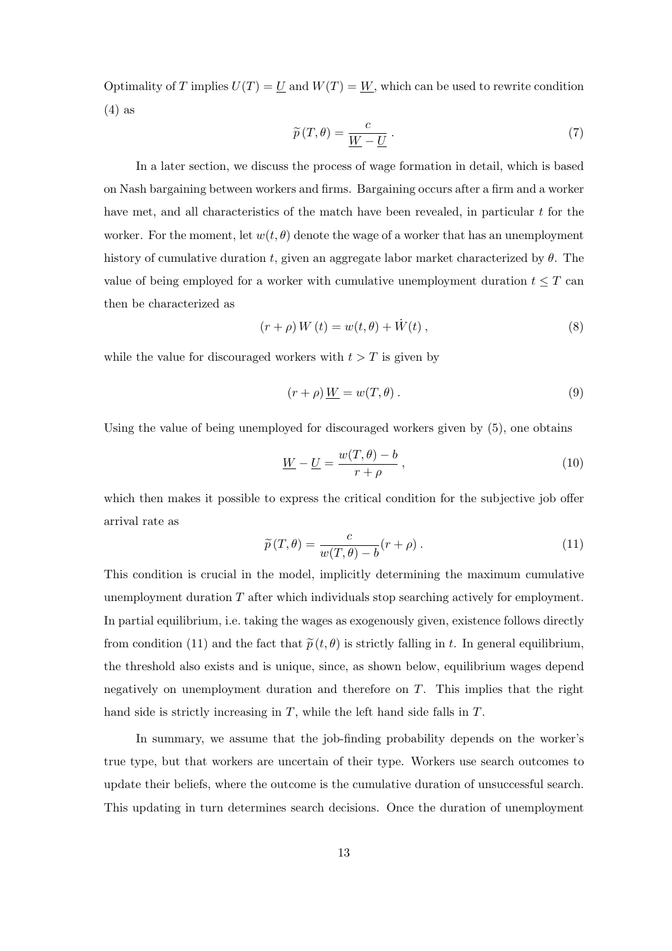Optimality of T implies  $U(T) = U$  and  $W(T) = W$ , which can be used to rewrite condition (4) as

$$
\widetilde{p}(T,\theta) = \frac{c}{\underline{W} - \underline{U}}.
$$
\n(7)

In a later section, we discuss the process of wage formation in detail, which is based on Nash bargaining between workers and firms. Bargaining occurs after a firm and a worker have met, and all characteristics of the match have been revealed, in particular t for the worker. For the moment, let  $w(t, \theta)$  denote the wage of a worker that has an unemployment history of cumulative duration t, given an aggregate labor market characterized by  $\theta$ . The value of being employed for a worker with cumulative unemployment duration  $t \leq T$  can then be characterized as

$$
(r+\rho)W(t) = w(t,\theta) + \dot{W}(t) , \qquad (8)
$$

while the value for discouraged workers with  $t>T$  is given by

$$
(r+\rho)\underline{W} = w(T,\theta). \tag{9}
$$

Using the value of being unemployed for discouraged workers given by (5), one obtains

$$
\underline{W} - \underline{U} = \frac{w(T, \theta) - b}{r + \rho},
$$
\n(10)

which then makes it possible to express the critical condition for the subjective job offer arrival rate as

$$
\widetilde{p}(T,\theta) = \frac{c}{w(T,\theta) - b}(r+\rho).
$$
\n(11)

This condition is crucial in the model, implicitly determining the maximum cumulative unemployment duration  $T$  after which individuals stop searching actively for employment. In partial equilibrium, i.e. taking the wages as exogenously given, existence follows directly from condition (11) and the fact that  $\tilde{p}(t, \theta)$  is strictly falling in t. In general equilibrium, the threshold also exists and is unique, since, as shown below, equilibrium wages depend negatively on unemployment duration and therefore on T. This implies that the right hand side is strictly increasing in T, while the left hand side falls in T.

In summary, we assume that the job-finding probability depends on the worker's true type, but that workers are uncertain of their type. Workers use search outcomes to update their beliefs, where the outcome is the cumulative duration of unsuccessful search. This updating in turn determines search decisions. Once the duration of unemployment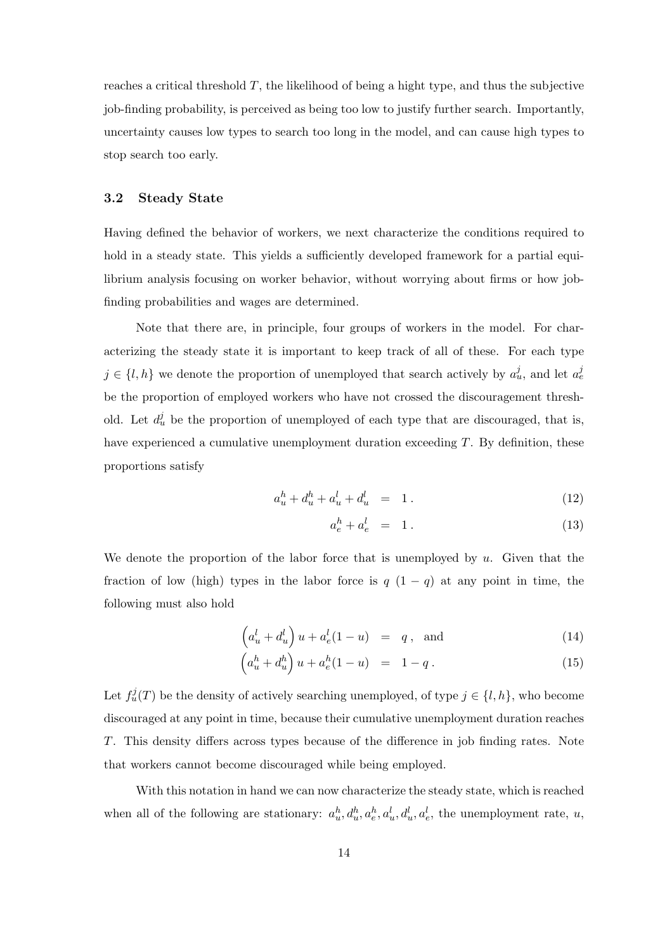reaches a critical threshold  $T$ , the likelihood of being a hight type, and thus the subjective job-finding probability, is perceived as being too low to justify further search. Importantly, uncertainty causes low types to search too long in the model, and can cause high types to stop search too early.

#### **3.2 Steady State**

Having defined the behavior of workers, we next characterize the conditions required to hold in a steady state. This yields a sufficiently developed framework for a partial equilibrium analysis focusing on worker behavior, without worrying about firms or how jobfinding probabilities and wages are determined.

Note that there are, in principle, four groups of workers in the model. For characterizing the steady state it is important to keep track of all of these. For each type  $j \in \{l, h\}$  we denote the proportion of unemployed that search actively by  $a_u^j$ , and let  $a_e^{j}$ be the proportion of employed workers who have not crossed the discouragement threshold. Let  $d_u^j$  be the proportion of unemployed of each type that are discouraged, that is, have experienced a cumulative unemployment duration exceeding T. By definition, these proportions satisfy

$$
a_u^h + d_u^h + a_u^l + d_u^l = 1.
$$
 (12)

$$
a_e^h + a_e^l \ = \ 1 \,. \tag{13}
$$

We denote the proportion of the labor force that is unemployed by  $u$ . Given that the fraction of low (high) types in the labor force is  $q(1-q)$  at any point in time, the following must also hold

$$
\left(a_u^l + d_u^l\right)u + a_e^l(1-u) = q, \text{ and } (14)
$$

$$
\left(a_u^h + d_u^h\right)u + a_e^h(1-u) = 1 - q.
$$
\n(15)

Let  $f^j_u(T)$  be the density of actively searching unemployed, of type  $j \in \{l, h\}$ , who become discouraged at any point in time, because their cumulative unemployment duration reaches T. This density differs across types because of the difference in job finding rates. Note that workers cannot become discouraged while being employed.

With this notation in hand we can now characterize the steady state, which is reached when all of the following are stationary:  $a_n^h, d_n^h, a_e^h, a_u^l, d_u^l, a_e^l$ , the unemployment rate, u,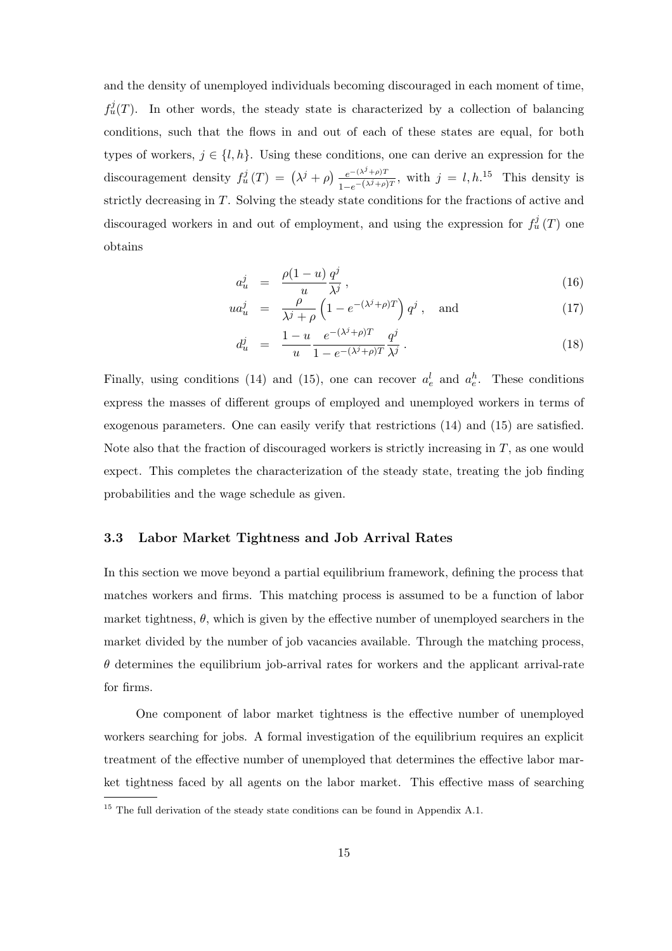and the density of unemployed individuals becoming discouraged in each moment of time,  $f_u^j(T)$ . In other words, the steady state is characterized by a collection of balancing conditions, such that the flows in and out of each of these states are equal, for both types of workers,  $j \in \{l, h\}$ . Using these conditions, one can derive an expression for the discouragement density  $f_u^j(T) = (\lambda^j + \rho) \frac{e^{-(\lambda^j + \rho)T}}{1 - e^{-(\lambda^j + \rho)T}}$ , with  $j = l, h^{15}$  This density is strictly decreasing in T. Solving the steady state conditions for the fractions of active and discouraged workers in and out of employment, and using the expression for  $f_u^j(T)$  one obtains

$$
a_u^j = \frac{\rho(1-u)}{u} \frac{q^j}{\lambda^j},\tag{16}
$$

$$
ua_u^j = \frac{\rho}{\lambda^j + \rho} \left( 1 - e^{-(\lambda^j + \rho)T} \right) q^j, \text{ and } (17)
$$

$$
d_u^j = \frac{1 - u}{u} \frac{e^{-(\lambda^j + \rho)T}}{1 - e^{-(\lambda^j + \rho)T}} \frac{q^j}{\lambda^j} \,. \tag{18}
$$

Finally, using conditions (14) and (15), one can recover  $a_e^l$  and  $a_e^h$ . These conditions express the masses of different groups of employed and unemployed workers in terms of exogenous parameters. One can easily verify that restrictions (14) and (15) are satisfied. Note also that the fraction of discouraged workers is strictly increasing in  $T$ , as one would expect. This completes the characterization of the steady state, treating the job finding probabilities and the wage schedule as given.

#### **3.3 Labor Market Tightness and Job Arrival Rates**

In this section we move beyond a partial equilibrium framework, defining the process that matches workers and firms. This matching process is assumed to be a function of labor market tightness,  $\theta$ , which is given by the effective number of unemployed searchers in the market divided by the number of job vacancies available. Through the matching process,  $\theta$  determines the equilibrium job-arrival rates for workers and the applicant arrival-rate for firms.

One component of labor market tightness is the effective number of unemployed workers searching for jobs. A formal investigation of the equilibrium requires an explicit treatment of the effective number of unemployed that determines the effective labor market tightness faced by all agents on the labor market. This effective mass of searching

<sup>&</sup>lt;sup>15</sup> The full derivation of the steady state conditions can be found in Appendix A.1.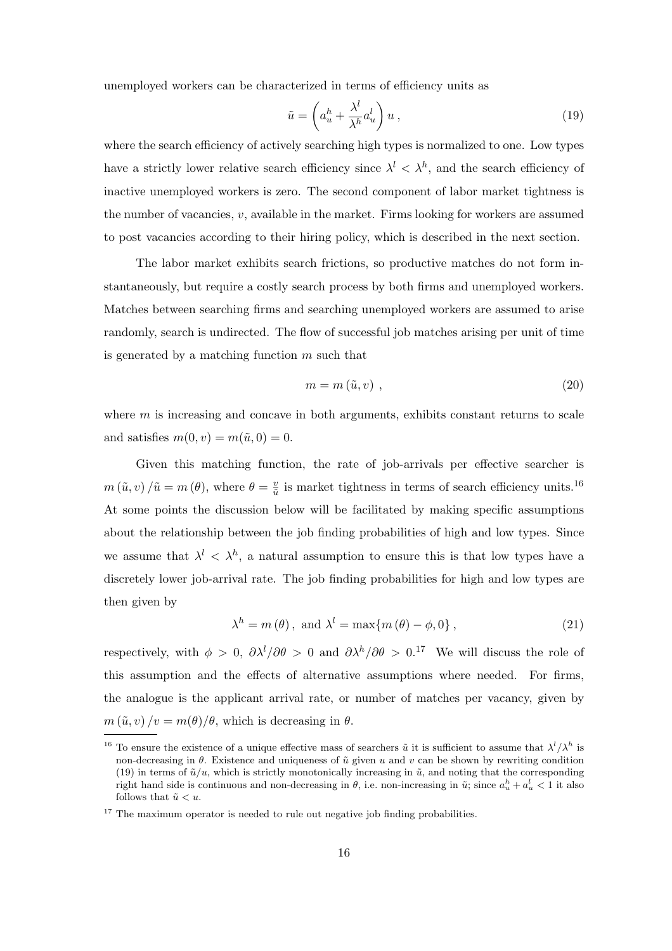unemployed workers can be characterized in terms of efficiency units as

$$
\tilde{u} = \left(a_u^h + \frac{\lambda^l}{\lambda^h} a_u^l\right) u \,,\tag{19}
$$

where the search efficiency of actively searching high types is normalized to one. Low types have a strictly lower relative search efficiency since  $\lambda^{l} < \lambda^{h}$ , and the search efficiency of inactive unemployed workers is zero. The second component of labor market tightness is the number of vacancies,  $v$ , available in the market. Firms looking for workers are assumed to post vacancies according to their hiring policy, which is described in the next section.

The labor market exhibits search frictions, so productive matches do not form instantaneously, but require a costly search process by both firms and unemployed workers. Matches between searching firms and searching unemployed workers are assumed to arise randomly, search is undirected. The flow of successful job matches arising per unit of time is generated by a matching function  $m$  such that

$$
m = m\left(\tilde{u}, v\right) \,,\tag{20}
$$

where  $m$  is increasing and concave in both arguments, exhibits constant returns to scale and satisfies  $m(0, v) = m(\tilde{u}, 0) = 0$ .

Given this matching function, the rate of job-arrivals per effective searcher is  $m(\tilde{u}, v) / \tilde{u} = m(\theta)$ , where  $\theta = \frac{v}{\tilde{u}}$  is market tightness in terms of search efficiency units.<sup>16</sup> At some points the discussion below will be facilitated by making specific assumptions about the relationship between the job finding probabilities of high and low types. Since we assume that  $\lambda^{l} < \lambda^{h}$ , a natural assumption to ensure this is that low types have a discretely lower job-arrival rate. The job finding probabilities for high and low types are then given by

$$
\lambda^{h} = m(\theta), \text{ and } \lambda^{l} = \max\{m(\theta) - \phi, 0\},
$$
\n(21)

respectively, with  $\phi > 0$ ,  $\partial \lambda^l / \partial \theta > 0$  and  $\partial \lambda^h / \partial \theta > 0$ .<sup>17</sup> We will discuss the role of this assumption and the effects of alternative assumptions where needed. For firms, the analogue is the applicant arrival rate, or number of matches per vacancy, given by  $m(\tilde{u}, v)/v = m(\theta)/\theta$ , which is decreasing in  $\theta$ .

<sup>&</sup>lt;sup>16</sup> To ensure the existence of a unique effective mass of searchers  $\tilde{u}$  it is sufficient to assume that  $\lambda^l/\lambda^h$  is non-decreasing in  $\theta$ . Existence and uniqueness of  $\tilde{u}$  given u and v can be shown by rewriting condition (19) in terms of  $\tilde{u}/u$ , which is strictly monotonically increasing in  $\tilde{u}$ , and noting that the corresponding right hand side is continuous and non-decreasing in  $\theta$ , i.e. non-increasing in  $\tilde{u}$ ; since  $a_u^h + a_u^l < 1$  it also follows that  $\tilde{u} < u$ .

 $17$  The maximum operator is needed to rule out negative job finding probabilities.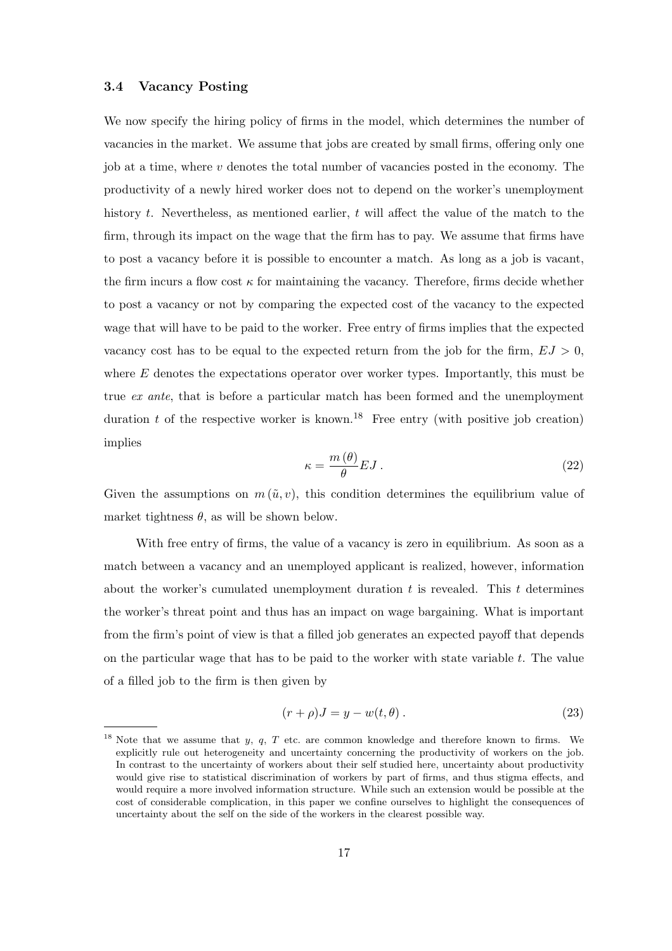#### **3.4 Vacancy Posting**

We now specify the hiring policy of firms in the model, which determines the number of vacancies in the market. We assume that jobs are created by small firms, offering only one job at a time, where v denotes the total number of vacancies posted in the economy. The productivity of a newly hired worker does not to depend on the worker's unemployment history t. Nevertheless, as mentioned earlier, t will affect the value of the match to the firm, through its impact on the wage that the firm has to pay. We assume that firms have to post a vacancy before it is possible to encounter a match. As long as a job is vacant, the firm incurs a flow cost  $\kappa$  for maintaining the vacancy. Therefore, firms decide whether to post a vacancy or not by comparing the expected cost of the vacancy to the expected wage that will have to be paid to the worker. Free entry of firms implies that the expected vacancy cost has to be equal to the expected return from the job for the firm,  $EJ > 0$ , where  $E$  denotes the expectations operator over worker types. Importantly, this must be true *ex ante*, that is before a particular match has been formed and the unemployment duration t of the respective worker is known.<sup>18</sup> Free entry (with positive job creation) implies

$$
\kappa = \frac{m(\theta)}{\theta} EJ \,. \tag{22}
$$

Given the assumptions on  $m(\tilde{u}, v)$ , this condition determines the equilibrium value of market tightness  $\theta$ , as will be shown below.

With free entry of firms, the value of a vacancy is zero in equilibrium. As soon as a match between a vacancy and an unemployed applicant is realized, however, information about the worker's cumulated unemployment duration  $t$  is revealed. This  $t$  determines the worker's threat point and thus has an impact on wage bargaining. What is important from the firm's point of view is that a filled job generates an expected payoff that depends on the particular wage that has to be paid to the worker with state variable  $t$ . The value of a filled job to the firm is then given by

$$
(r+\rho)J = y - w(t,\theta). \tag{23}
$$

<sup>&</sup>lt;sup>18</sup> Note that we assume that y, q, T etc. are common knowledge and therefore known to firms. We explicitly rule out heterogeneity and uncertainty concerning the productivity of workers on the job. In contrast to the uncertainty of workers about their self studied here, uncertainty about productivity would give rise to statistical discrimination of workers by part of firms, and thus stigma effects, and would require a more involved information structure. While such an extension would be possible at the cost of considerable complication, in this paper we confine ourselves to highlight the consequences of uncertainty about the self on the side of the workers in the clearest possible way.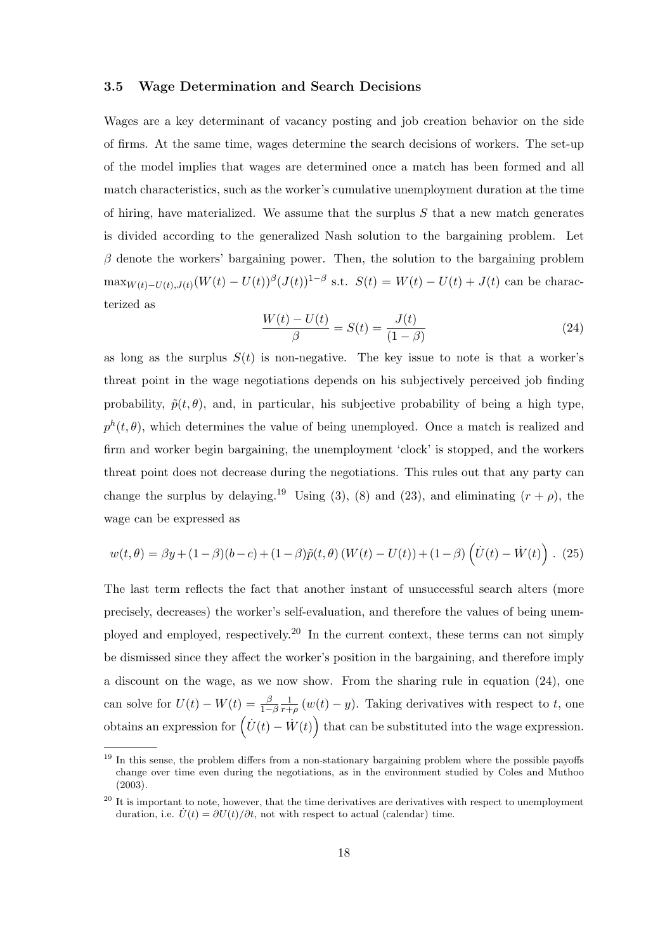#### **3.5 Wage Determination and Search Decisions**

Wages are a key determinant of vacancy posting and job creation behavior on the side of firms. At the same time, wages determine the search decisions of workers. The set-up of the model implies that wages are determined once a match has been formed and all match characteristics, such as the worker's cumulative unemployment duration at the time of hiring, have materialized. We assume that the surplus  $S$  that a new match generates is divided according to the generalized Nash solution to the bargaining problem. Let  $\beta$  denote the workers' bargaining power. Then, the solution to the bargaining problem  $\max_{W(t)-U(t),J(t)} (W(t) - U(t))^{\beta} (J(t))^{1-\beta}$  s.t.  $S(t) = W(t) - U(t) + J(t)$  can be characterized as

$$
\frac{W(t) - U(t)}{\beta} = S(t) = \frac{J(t)}{(1 - \beta)}
$$
\n(24)

as long as the surplus  $S(t)$  is non-negative. The key issue to note is that a worker's threat point in the wage negotiations depends on his subjectively perceived job finding probability,  $\tilde{p}(t, \theta)$ , and, in particular, his subjective probability of being a high type,  $p^{h}(t, \theta)$ , which determines the value of being unemployed. Once a match is realized and firm and worker begin bargaining, the unemployment 'clock' is stopped, and the workers threat point does not decrease during the negotiations. This rules out that any party can change the surplus by delaying.<sup>19</sup> Using (3), (8) and (23), and eliminating  $(r + \rho)$ , the wage can be expressed as

$$
w(t,\theta) = \beta y + (1-\beta)(b-c) + (1-\beta)\tilde{p}(t,\theta) (W(t) - U(t)) + (1-\beta)\left(\dot{U}(t) - \dot{W}(t)\right). (25)
$$

The last term reflects the fact that another instant of unsuccessful search alters (more precisely, decreases) the worker's self-evaluation, and therefore the values of being unemployed and employed, respectively.<sup>20</sup> In the current context, these terms can not simply be dismissed since they affect the worker's position in the bargaining, and therefore imply a discount on the wage, as we now show. From the sharing rule in equation (24), one can solve for  $U(t) - W(t) = \frac{\beta}{1-\beta} \frac{1}{r+\rho} (w(t) - y)$ . Taking derivatives with respect to t, one obtains an expression for  $(\dot{U}(t) - \dot{W}(t))$  that can be substituted into the wage expression.

<sup>&</sup>lt;sup>19</sup> In this sense, the problem differs from a non-stationary bargaining problem where the possible payoffs change over time even during the negotiations, as in the environment studied by Coles and Muthoo (2003).

 $20$  It is important to note, however, that the time derivatives are derivatives with respect to unemployment duration, i.e.  $\dot{U}(t) = \partial U(t)/\partial t$ , not with respect to actual (calendar) time.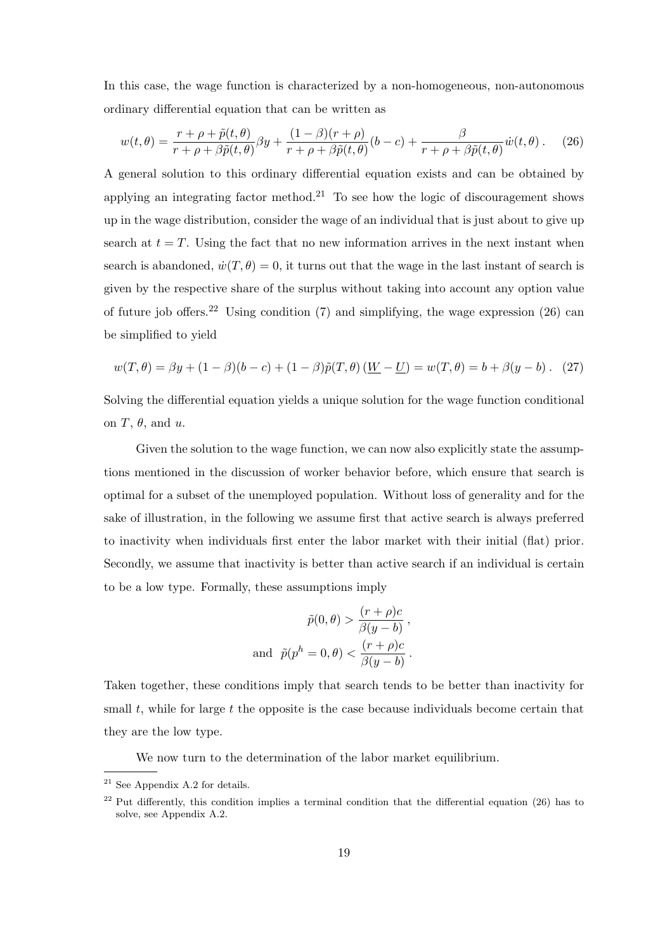In this case, the wage function is characterized by a non-homogeneous, non-autonomous ordinary differential equation that can be written as

$$
w(t,\theta) = \frac{r+\rho+\tilde{p}(t,\theta)}{r+\rho+\beta\tilde{p}(t,\theta)}\beta y + \frac{(1-\beta)(r+\rho)}{r+\rho+\beta\tilde{p}(t,\theta)}(b-c) + \frac{\beta}{r+\rho+\beta\tilde{p}(t,\theta)}\dot{w}(t,\theta). \tag{26}
$$

A general solution to this ordinary differential equation exists and can be obtained by applying an integrating factor method.<sup>21</sup> To see how the logic of discouragement shows up in the wage distribution, consider the wage of an individual that is just about to give up search at  $t = T$ . Using the fact that no new information arrives in the next instant when search is abandoned,  $\dot{w}(T,\theta) = 0$ , it turns out that the wage in the last instant of search is given by the respective share of the surplus without taking into account any option value of future job offers.<sup>22</sup> Using condition (7) and simplifying, the wage expression (26) can be simplified to yield

$$
w(T, \theta) = \beta y + (1 - \beta)(b - c) + (1 - \beta)\tilde{p}(T, \theta)\left(\underline{W} - \underline{U}\right) = w(T, \theta) = b + \beta(y - b). \tag{27}
$$

Solving the differential equation yields a unique solution for the wage function conditional on  $T$ ,  $\theta$ , and  $u$ .

Given the solution to the wage function, we can now also explicitly state the assumptions mentioned in the discussion of worker behavior before, which ensure that search is optimal for a subset of the unemployed population. Without loss of generality and for the sake of illustration, in the following we assume first that active search is always preferred to inactivity when individuals first enter the labor market with their initial (flat) prior. Secondly, we assume that inactivity is better than active search if an individual is certain to be a low type. Formally, these assumptions imply

$$
\tilde{p}(0,\theta) > \frac{(r+\rho)c}{\beta(y-b)},
$$
  
and 
$$
\tilde{p}(p^h = 0,\theta) < \frac{(r+\rho)c}{\beta(y-b)}.
$$

Taken together, these conditions imply that search tends to be better than inactivity for small  $t$ , while for large  $t$  the opposite is the case because individuals become certain that they are the low type.

We now turn to the determination of the labor market equilibrium.

<sup>21</sup> See Appendix A.2 for details.

 $22$  Put differently, this condition implies a terminal condition that the differential equation (26) has to solve, see Appendix A.2.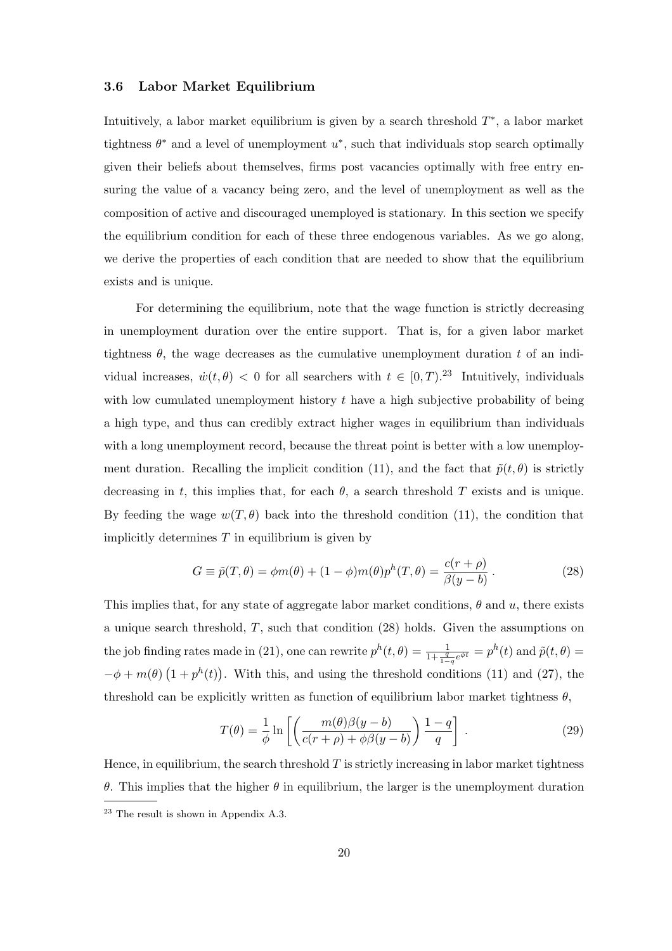#### **3.6 Labor Market Equilibrium**

Intuitively, a labor market equilibrium is given by a search threshold  $T^*$ , a labor market tightness  $\theta^*$  and a level of unemployment  $u^*$ , such that individuals stop search optimally given their beliefs about themselves, firms post vacancies optimally with free entry ensuring the value of a vacancy being zero, and the level of unemployment as well as the composition of active and discouraged unemployed is stationary. In this section we specify the equilibrium condition for each of these three endogenous variables. As we go along, we derive the properties of each condition that are needed to show that the equilibrium exists and is unique.

For determining the equilibrium, note that the wage function is strictly decreasing in unemployment duration over the entire support. That is, for a given labor market tightness  $\theta$ , the wage decreases as the cumulative unemployment duration t of an individual increases,  $\dot{w}(t, \theta) < 0$  for all searchers with  $t \in [0, T)$ .<sup>23</sup> Intuitively, individuals with low cumulated unemployment history  $t$  have a high subjective probability of being a high type, and thus can credibly extract higher wages in equilibrium than individuals with a long unemployment record, because the threat point is better with a low unemployment duration. Recalling the implicit condition (11), and the fact that  $\tilde{p}(t, \theta)$  is strictly decreasing in t, this implies that, for each  $\theta$ , a search threshold T exists and is unique. By feeding the wage  $w(T, \theta)$  back into the threshold condition (11), the condition that implicitly determines  $T$  in equilibrium is given by

$$
G \equiv \tilde{p}(T,\theta) = \phi m(\theta) + (1-\phi)m(\theta)p^{h}(T,\theta) = \frac{c(r+\rho)}{\beta(y-b)}.
$$
\n(28)

This implies that, for any state of aggregate labor market conditions,  $\theta$  and  $u$ , there exists a unique search threshold,  $T$ , such that condition (28) holds. Given the assumptions on the job finding rates made in (21), one can rewrite  $p^{h}(t, \theta) = \frac{1}{1 + \frac{q}{1-q}e^{\phi t}} = p^{h}(t)$  and  $\tilde{p}(t, \theta) =$  $-\phi + m(\theta)$   $(1 + p^h(t))$ . With this, and using the threshold conditions (11) and (27), the threshold can be explicitly written as function of equilibrium labor market tightness  $\theta$ ,

$$
T(\theta) = \frac{1}{\phi} \ln \left[ \left( \frac{m(\theta)\beta(y-b)}{c(r+\rho) + \phi\beta(y-b)} \right) \frac{1-q}{q} \right].
$$
 (29)

Hence, in equilibrium, the search threshold  $T$  is strictly increasing in labor market tightness θ. This implies that the higher θ in equilibrium, the larger is the unemployment duration <sup>23</sup> The result is shown in Appendix A.3.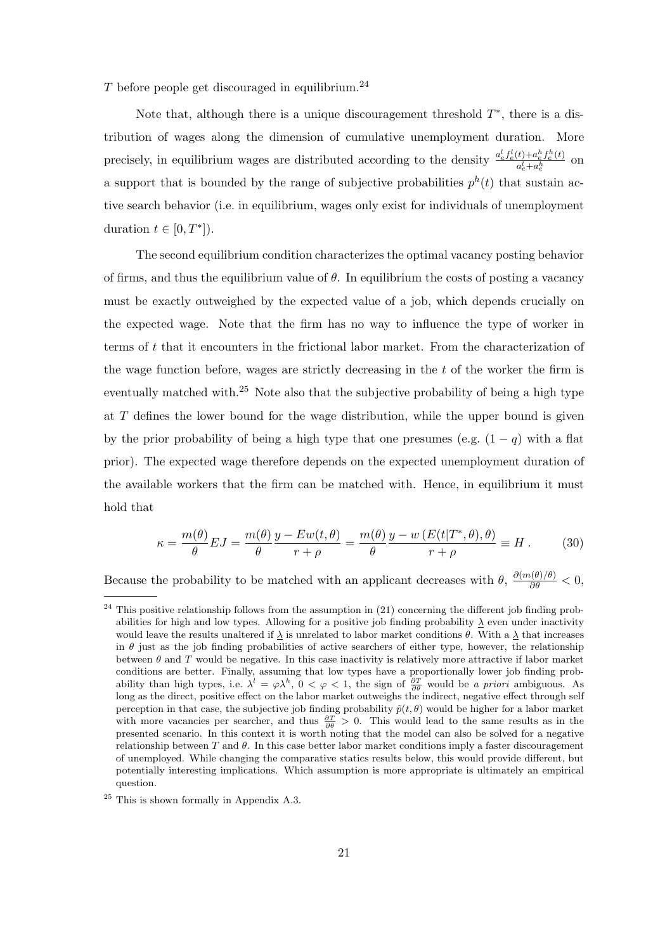$T$  before people get discouraged in equilibrium.<sup>24</sup>

Note that, although there is a unique discouragement threshold  $T^*$ , there is a distribution of wages along the dimension of cumulative unemployment duration. More precisely, in equilibrium wages are distributed according to the density  $\frac{a_e^l f_e^l(t) + a_e^b f_e^h(t)}{a_e^l + a_e^h}$  on a support that is bounded by the range of subjective probabilities  $p^h(t)$  that sustain active search behavior (i.e. in equilibrium, wages only exist for individuals of unemployment duration  $t \in [0, T^*]$ .

The second equilibrium condition characterizes the optimal vacancy posting behavior of firms, and thus the equilibrium value of  $\theta$ . In equilibrium the costs of posting a vacancy must be exactly outweighed by the expected value of a job, which depends crucially on the expected wage. Note that the firm has no way to influence the type of worker in terms of t that it encounters in the frictional labor market. From the characterization of the wage function before, wages are strictly decreasing in the  $t$  of the worker the firm is eventually matched with.<sup>25</sup> Note also that the subjective probability of being a high type at  $T$  defines the lower bound for the wage distribution, while the upper bound is given by the prior probability of being a high type that one presumes (e.g.  $(1 - q)$  with a flat prior). The expected wage therefore depends on the expected unemployment duration of the available workers that the firm can be matched with. Hence, in equilibrium it must hold that

$$
\kappa = \frac{m(\theta)}{\theta} EJ = \frac{m(\theta)}{\theta} \frac{y - Ew(t, \theta)}{r + \rho} = \frac{m(\theta)}{\theta} \frac{y - w(E(t|T^*, \theta), \theta)}{r + \rho} \equiv H. \tag{30}
$$

Because the probability to be matched with an applicant decreases with  $\theta$ ,  $\frac{\partial (m(\theta)/\theta)}{\partial \theta} < 0$ ,

 $^{24}$  This positive relationship follows from the assumption in (21) concerning the different job finding probabilities for high and low types. Allowing for a positive job finding probability  $\lambda$  even under inactivity would leave the results unaltered if  $\Delta$  is unrelated to labor market conditions  $\theta$ . With a  $\Delta$  that increases in  $\theta$  just as the job finding probabilities of active searchers of either type, however, the relationship between  $\theta$  and T would be negative. In this case inactivity is relatively more attractive if labor market conditions are better. Finally, assuming that low types have a proportionally lower job finding probability than high types, i.e.  $\lambda^l = \varphi \lambda^h$ ,  $0 < \varphi < 1$ , the sign of  $\frac{\partial T}{\partial \theta}$  would be *a priori* ambiguous. As long as the direct, positive effect on the labor market outweighs the indirect, negative effect through perception in that case, the subjective job finding probability  $\tilde{p}(t, \theta)$  would be higher for a labor market with more vacancies per searcher, and thus  $\frac{\partial T}{\partial \theta} > 0$ . This would lead to the same results as in the presented scenario. In this context it is worth noting that the model can also be solved for a negative relationship between  $T$  and  $\theta$ . In this case better labor market conditions imply a faster discouragement of unemployed. While changing the comparative statics results below, this would provide different, but potentially interesting implications. Which assumption is more appropriate is ultimately an empirical question.

<sup>25</sup> This is shown formally in Appendix A.3.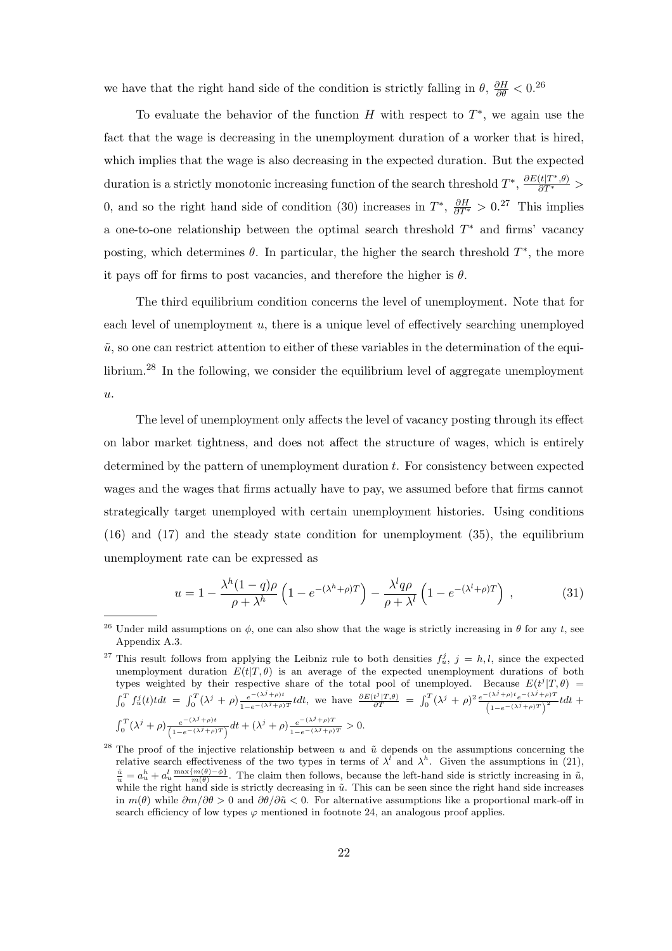we have that the right hand side of the condition is strictly falling in  $\theta$ ,  $\frac{\partial H}{\partial \theta} < 0$ .<sup>26</sup>

To evaluate the behavior of the function H with respect to  $T^*$ , we again use the fact that the wage is decreasing in the unemployment duration of a worker that is hired, which implies that the wage is also decreasing in the expected duration. But the expected duration is a strictly monotonic increasing function of the search threshold  $T^*$ ,  $\frac{\partial E(t|T^*,\theta)}{\partial T^*}$ 0, and so the right hand side of condition (30) increases in  $T^*$ ,  $\frac{\partial H}{\partial T^*} > 0.^{27}$  This implies a one-to-one relationship between the optimal search threshold T<sup>∗</sup> and firms' vacancy posting, which determines  $\theta$ . In particular, the higher the search threshold  $T^*$ , the more it pays off for firms to post vacancies, and therefore the higher is  $\theta$ .

The third equilibrium condition concerns the level of unemployment. Note that for each level of unemployment  $u$ , there is a unique level of effectively searching unemployed  $\tilde{u}$ , so one can restrict attention to either of these variables in the determination of the equilibrium.<sup>28</sup> In the following, we consider the equilibrium level of aggregate unemployment u.

The level of unemployment only affects the level of vacancy posting through its effect on labor market tightness, and does not affect the structure of wages, which is entirely determined by the pattern of unemployment duration t. For consistency between expected wages and the wages that firms actually have to pay, we assumed before that firms cannot strategically target unemployed with certain unemployment histories. Using conditions (16) and (17) and the steady state condition for unemployment (35), the equilibrium unemployment rate can be expressed as

$$
u = 1 - \frac{\lambda^h (1 - q)\rho}{\rho + \lambda^h} \left( 1 - e^{-(\lambda^h + \rho)T} \right) - \frac{\lambda^l q\rho}{\rho + \lambda^l} \left( 1 - e^{-(\lambda^l + \rho)T} \right) , \qquad (31)
$$

<sup>&</sup>lt;sup>26</sup> Under mild assumptions on  $\phi$ , one can also show that the wage is strictly increasing in  $\theta$  for any t, see Appendix A.3.

<sup>&</sup>lt;sup>27</sup> This result follows from applying the Leibniz rule to both densities  $f_u^j$ ,  $j = h, l$ , since the expected unemployment duration  $E(t|T,\theta)$  is an average of the expected unemployment durations of both types weighted by their respective share of the total pool of unemployed. Because  $E(t^j|T,\theta)$  =  $\int_0^T f_u^j(t) t dt = \int_0^T (\lambda^j + \rho) \frac{e^{-(\lambda^j + \rho)t}}{1 - e^{-(\lambda^j + \rho)T}} t dt$ , we have  $\frac{\partial E(t^j | T, \theta)}{\partial T} = \int_0^T (\lambda^j + \rho)^2 \frac{e^{-(\lambda^j + \rho)t} e^{-(\lambda^j + \rho)T}}{(1 - e^{-(\lambda^j + \rho)T})^2} t dt$  $\int_0^T (\lambda^j + \rho) \frac{e^{-(\lambda^j + \rho)t}}{(1 - e^{-(\lambda^j + \rho)T})} dt + (\lambda^j + \rho) \frac{e^{-(\lambda^j + \rho)T}}{1 - e^{-(\lambda^j + \rho)T}} > 0.$ 

<sup>&</sup>lt;sup>28</sup> The proof of the injective relationship between u and  $\tilde{u}$  depends on the assumptions concerning the relative search effectiveness of the two types in terms of  $\lambda^{l}$  and  $\lambda^{h}$ . Given the assumptions in (21),  $\frac{\tilde{u}}{u} = a_u^h + a_u^l \frac{\max\{m(\theta) - \phi\}}{m(\theta)}$ . The claim then follows, because the left-hand side is strictly increasing in  $\tilde{u}$ , while the right hand side is strictly decreasing in  $\tilde{u}$ . This can be seen since the right hand side increases in  $m(\theta)$  while  $\partial m/\partial \theta > 0$  and  $\partial \theta/\partial \tilde{u} < 0$ . For alternative assumptions like a proportional mark-off in search efficiency of low types  $\varphi$  mentioned in footnote 24, an analogous proof applies.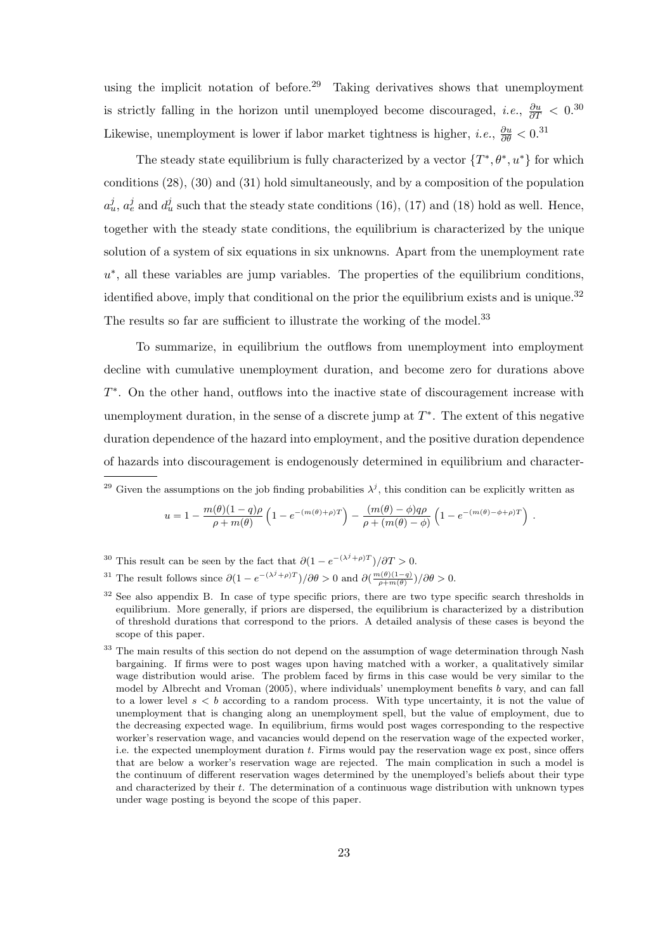using the implicit notation of before.<sup>29</sup> Taking derivatives shows that unemployment is strictly falling in the horizon until unemployed become discouraged, *i.e.*,  $\frac{\partial u}{\partial T}$  < 0.<sup>30</sup> Likewise, unemployment is lower if labor market tightness is higher, *i.e.*,  $\frac{\partial u}{\partial \theta} < 0$ .<sup>31</sup>

The steady state equilibrium is fully characterized by a vector  $\{T^*, \theta^*, u^*\}$  for which conditions (28), (30) and (31) hold simultaneously, and by a composition of the population  $a_u^j$ ,  $a_e^j$  and  $d_u^j$  such that the steady state conditions (16), (17) and (18) hold as well. Hence, together with the steady state conditions, the equilibrium is characterized by the unique solution of a system of six equations in six unknowns. Apart from the unemployment rate  $u^*$ , all these variables are jump variables. The properties of the equilibrium conditions, identified above, imply that conditional on the prior the equilibrium exists and is unique.<sup>32</sup> The results so far are sufficient to illustrate the working of the model.<sup>33</sup>

To summarize, in equilibrium the outflows from unemployment into employment decline with cumulative unemployment duration, and become zero for durations above T∗. On the other hand, outflows into the inactive state of discouragement increase with unemployment duration, in the sense of a discrete jump at  $T^*$ . The extent of this negative duration dependence of the hazard into employment, and the positive duration dependence of hazards into discouragement is endogenously determined in equilibrium and character-

<sup>29</sup> Given the assumptions on the job finding probabilities  $\lambda^j$ , this condition can be explicitly written as

$$
u = 1 - \frac{m(\theta)(1-q)\rho}{\rho + m(\theta)} \left(1 - e^{-(m(\theta) + \rho)T}\right) - \frac{(m(\theta) - \phi)q\rho}{\rho + (m(\theta) - \phi)} \left(1 - e^{-(m(\theta) - \phi + \rho)T}\right).
$$

<sup>30</sup> This result can be seen by the fact that  $\partial (1 - e^{-(\lambda^j + \rho)T})/\partial T > 0$ .

$$
^{31} \text{ The result follows since } \partial (1-e^{-(\lambda^j+\rho)T})/\partial \theta>0 \text{ and } \partial (\tfrac{m(\theta)(1-q)}{\rho+m(\theta)})/\partial \theta>0.
$$

<sup>&</sup>lt;sup>32</sup> See also appendix B. In case of type specific priors, there are two type specific search thresholds in equilibrium. More generally, if priors are dispersed, the equilibrium is characterized by a distribution of threshold durations that correspond to the priors. A detailed analysis of these cases is beyond the scope of this paper.

<sup>&</sup>lt;sup>33</sup> The main results of this section do not depend on the assumption of wage determination through Nash bargaining. If firms were to post wages upon having matched with a worker, a qualitatively similar wage distribution would arise. The problem faced by firms in this case would be very similar to the model by Albrecht and Vroman (2005), where individuals' unemployment benefits b vary, and can fall to a lower level  $s < b$  according to a random process. With type uncertainty, it is not the value of unemployment that is changing along an unemployment spell, but the value of employment, due to the decreasing expected wage. In equilibrium, firms would post wages corresponding to the respective worker's reservation wage, and vacancies would depend on the reservation wage of the expected worker, i.e. the expected unemployment duration t. Firms would pay the reservation wage ex post, since offers that are below a worker's reservation wage are rejected. The main complication in such a model is the continuum of different reservation wages determined by the unemployed's beliefs about their type and characterized by their t. The determination of a continuous wage distribution with unknown types under wage posting is beyond the scope of this paper.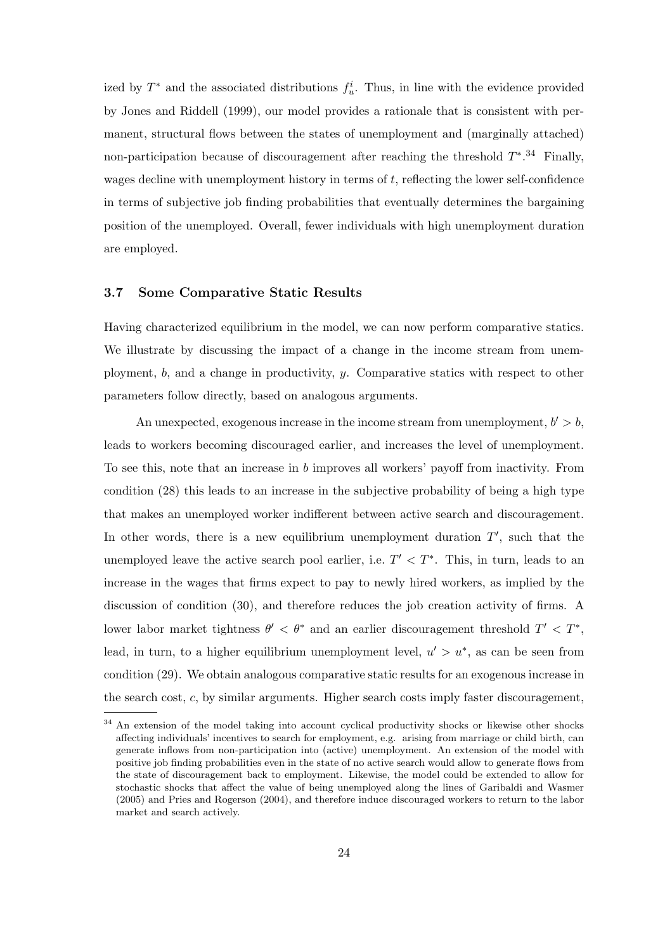ized by  $T^*$  and the associated distributions  $f_u^i$ . Thus, in line with the evidence provided by Jones and Riddell (1999), our model provides a rationale that is consistent with permanent, structural flows between the states of unemployment and (marginally attached) non-participation because of discouragement after reaching the threshold  $T^*$ .<sup>34</sup> Finally, wages decline with unemployment history in terms of  $t$ , reflecting the lower self-confidence in terms of subjective job finding probabilities that eventually determines the bargaining position of the unemployed. Overall, fewer individuals with high unemployment duration are employed.

#### **3.7 Some Comparative Static Results**

Having characterized equilibrium in the model, we can now perform comparative statics. We illustrate by discussing the impact of a change in the income stream from unemployment, b, and a change in productivity, y. Comparative statics with respect to other parameters follow directly, based on analogous arguments.

An unexpected, exogenous increase in the income stream from unemployment,  $b' > b$ , leads to workers becoming discouraged earlier, and increases the level of unemployment. To see this, note that an increase in b improves all workers' payoff from inactivity. From condition (28) this leads to an increase in the subjective probability of being a high type that makes an unemployed worker indifferent between active search and discouragement. In other words, there is a new equilibrium unemployment duration  $T'$ , such that the unemployed leave the active search pool earlier, i.e.  $T' < T^*$ . This, in turn, leads to an increase in the wages that firms expect to pay to newly hired workers, as implied by the discussion of condition (30), and therefore reduces the job creation activity of firms. A lower labor market tightness  $\theta' < \theta^*$  and an earlier discouragement threshold  $T' < T^*$ , lead, in turn, to a higher equilibrium unemployment level,  $u' > u^*$ , as can be seen from condition (29). We obtain analogous comparative static results for an exogenous increase in the search cost, c, by similar arguments. Higher search costs imply faster discouragement,

<sup>34</sup> An extension of the model taking into account cyclical productivity shocks or likewise other shocks affecting individuals' incentives to search for employment, e.g. arising from marriage or child birth, can generate inflows from non-participation into (active) unemployment. An extension of the model with positive job finding probabilities even in the state of no active search would allow to generate flows from the state of discouragement back to employment. Likewise, the model could be extended to allow for stochastic shocks that affect the value of being unemployed along the lines of Garibaldi and Wasmer (2005) and Pries and Rogerson (2004), and therefore induce discouraged workers to return to the labor market and search actively.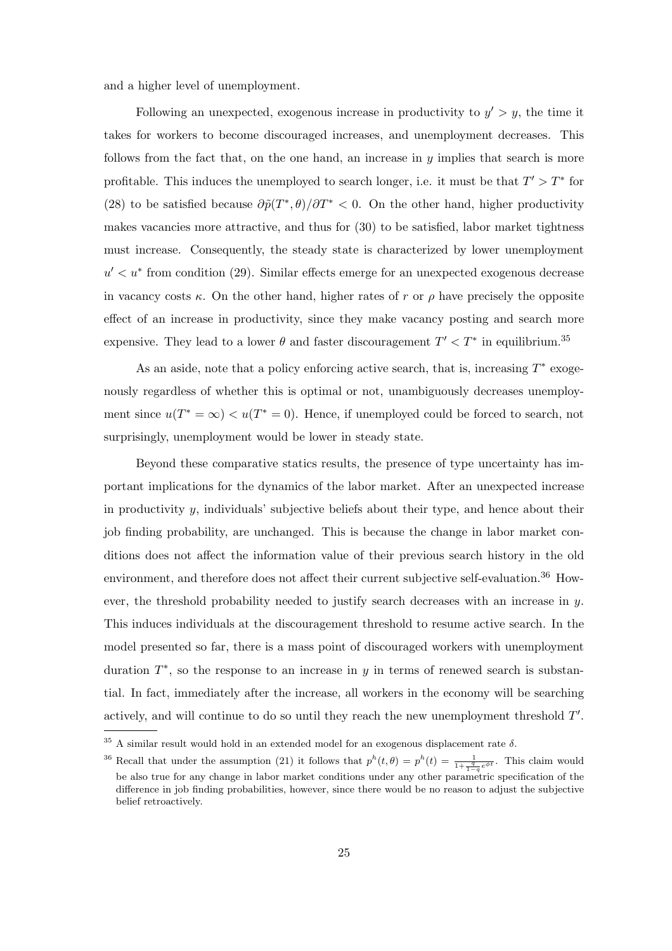and a higher level of unemployment.

Following an unexpected, exogenous increase in productivity to  $y' > y$ , the time it takes for workers to become discouraged increases, and unemployment decreases. This follows from the fact that, on the one hand, an increase in  $y$  implies that search is more profitable. This induces the unemployed to search longer, i.e. it must be that  $T' > T^*$  for (28) to be satisfied because  $\partial \tilde{p}(T^*, \theta)/\partial T^* < 0$ . On the other hand, higher productivity makes vacancies more attractive, and thus for (30) to be satisfied, labor market tightness must increase. Consequently, the steady state is characterized by lower unemployment  $u' < u^*$  from condition (29). Similar effects emerge for an unexpected exogenous decrease in vacancy costs  $\kappa$ . On the other hand, higher rates of r or  $\rho$  have precisely the opposite effect of an increase in productivity, since they make vacancy posting and search more expensive. They lead to a lower  $\theta$  and faster discouragement  $T' < T^*$  in equilibrium.<sup>35</sup>

As an aside, note that a policy enforcing active search, that is, increasing T<sup>∗</sup> exogenously regardless of whether this is optimal or not, unambiguously decreases unemployment since  $u(T^* = \infty) < u(T^* = 0)$ . Hence, if unemployed could be forced to search, not surprisingly, unemployment would be lower in steady state.

Beyond these comparative statics results, the presence of type uncertainty has important implications for the dynamics of the labor market. After an unexpected increase in productivity y, individuals' subjective beliefs about their type, and hence about their job finding probability, are unchanged. This is because the change in labor market conditions does not affect the information value of their previous search history in the old environment, and therefore does not affect their current subjective self-evaluation.<sup>36</sup> However, the threshold probability needed to justify search decreases with an increase in  $y$ . This induces individuals at the discouragement threshold to resume active search. In the model presented so far, there is a mass point of discouraged workers with unemployment duration  $T^*$ , so the response to an increase in y in terms of renewed search is substantial. In fact, immediately after the increase, all workers in the economy will be searching actively, and will continue to do so until they reach the new unemployment threshold  $T'$ .

 $^{35}$  A similar result would hold in an extended model for an exogenous displacement rate  $\delta.$ 

<sup>&</sup>lt;sup>36</sup> Recall that under the assumption (21) it follows that  $p^{h}(t, \theta) = p^{h}(t) = \frac{1}{1 + \frac{q}{1 - q} e^{\phi t}}$ . This claim would be also true for any change in labor market conditions under any other parametric specification of the difference in job finding probabilities, however, since there would be no reason to adjust the subjective belief retroactively.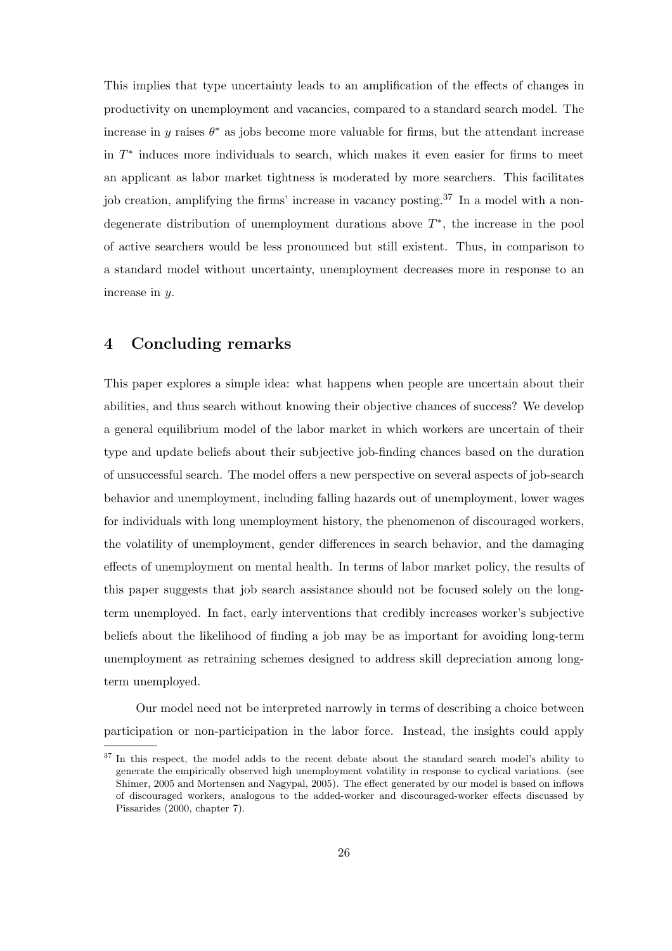This implies that type uncertainty leads to an amplification of the effects of changes in productivity on unemployment and vacancies, compared to a standard search model. The increase in y raises  $\theta^*$  as jobs become more valuable for firms, but the attendant increase in T<sup>∗</sup> induces more individuals to search, which makes it even easier for firms to meet an applicant as labor market tightness is moderated by more searchers. This facilitates job creation, amplifying the firms' increase in vacancy posting.<sup>37</sup> In a model with a nondegenerate distribution of unemployment durations above T∗, the increase in the pool of active searchers would be less pronounced but still existent. Thus, in comparison to a standard model without uncertainty, unemployment decreases more in response to an increase in y.

## **4 Concluding remarks**

This paper explores a simple idea: what happens when people are uncertain about their abilities, and thus search without knowing their objective chances of success? We develop a general equilibrium model of the labor market in which workers are uncertain of their type and update beliefs about their subjective job-finding chances based on the duration of unsuccessful search. The model offers a new perspective on several aspects of job-search behavior and unemployment, including falling hazards out of unemployment, lower wages for individuals with long unemployment history, the phenomenon of discouraged workers, the volatility of unemployment, gender differences in search behavior, and the damaging effects of unemployment on mental health. In terms of labor market policy, the results of this paper suggests that job search assistance should not be focused solely on the longterm unemployed. In fact, early interventions that credibly increases worker's subjective beliefs about the likelihood of finding a job may be as important for avoiding long-term unemployment as retraining schemes designed to address skill depreciation among longterm unemployed.

Our model need not be interpreted narrowly in terms of describing a choice between participation or non-participation in the labor force. Instead, the insights could apply

<sup>&</sup>lt;sup>37</sup> In this respect, the model adds to the recent debate about the standard search model's ability to generate the empirically observed high unemployment volatility in response to cyclical variations. (see Shimer, 2005 and Mortensen and Nagypal, 2005). The effect generated by our model is based on inflows of discouraged workers, analogous to the added-worker and discouraged-worker effects discussed by Pissarides (2000, chapter 7).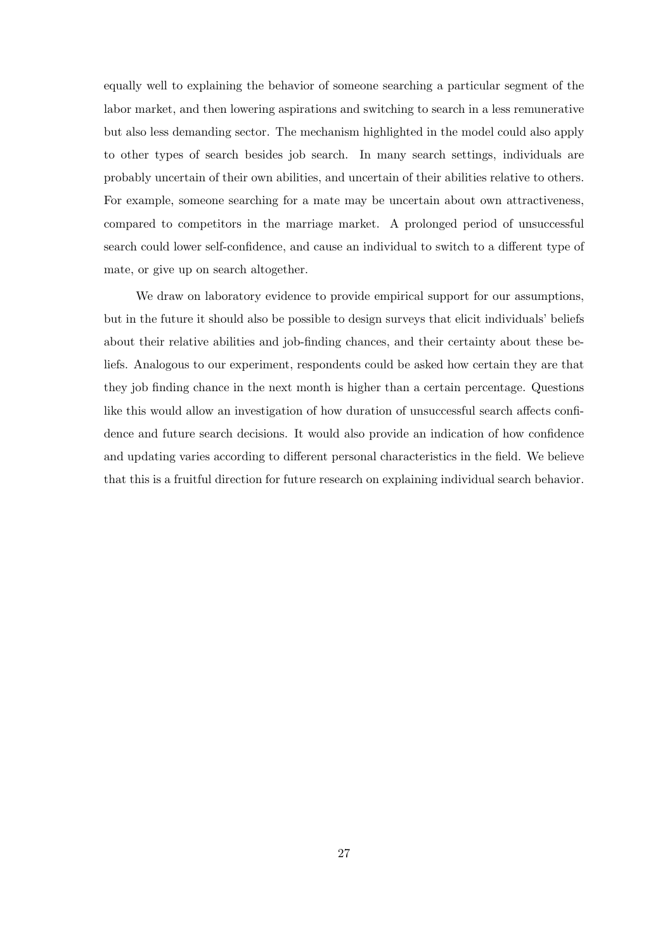equally well to explaining the behavior of someone searching a particular segment of the labor market, and then lowering aspirations and switching to search in a less remunerative but also less demanding sector. The mechanism highlighted in the model could also apply to other types of search besides job search. In many search settings, individuals are probably uncertain of their own abilities, and uncertain of their abilities relative to others. For example, someone searching for a mate may be uncertain about own attractiveness, compared to competitors in the marriage market. A prolonged period of unsuccessful search could lower self-confidence, and cause an individual to switch to a different type of mate, or give up on search altogether.

We draw on laboratory evidence to provide empirical support for our assumptions, but in the future it should also be possible to design surveys that elicit individuals' beliefs about their relative abilities and job-finding chances, and their certainty about these beliefs. Analogous to our experiment, respondents could be asked how certain they are that they job finding chance in the next month is higher than a certain percentage. Questions like this would allow an investigation of how duration of unsuccessful search affects confidence and future search decisions. It would also provide an indication of how confidence and updating varies according to different personal characteristics in the field. We believe that this is a fruitful direction for future research on explaining individual search behavior.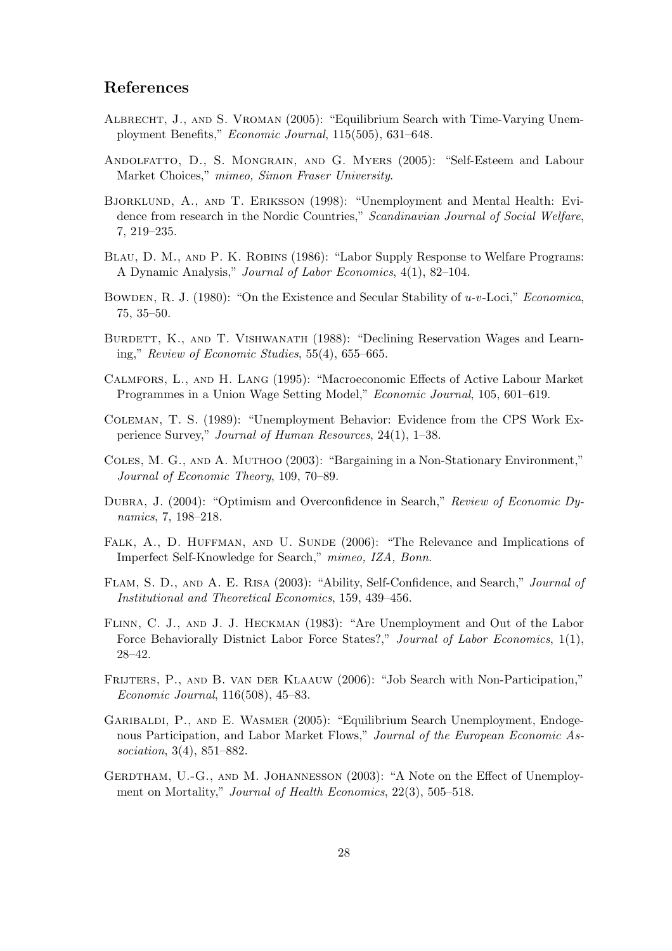## **References**

- Albrecht, J., and S. Vroman (2005): "Equilibrium Search with Time-Varying Unemployment Benefits," *Economic Journal*, 115(505), 631–648.
- Andolfatto, D., S. Mongrain, and G. Myers (2005): "Self-Esteem and Labour Market Choices," *mimeo, Simon Fraser University*.
- Bjorklund, A., and T. Eriksson (1998): "Unemployment and Mental Health: Evidence from research in the Nordic Countries," *Scandinavian Journal of Social Welfare*, 7, 219–235.
- BLAU, D. M., AND P. K. ROBINS (1986): "Labor Supply Response to Welfare Programs: A Dynamic Analysis," *Journal of Labor Economics*, 4(1), 82–104.
- Bowden, R. J. (1980): "On the Existence and Secular Stability of *u-v*-Loci," *Economica*, 75, 35–50.
- BURDETT, K., AND T. VISHWANATH (1988): "Declining Reservation Wages and Learning," *Review of Economic Studies*, 55(4), 655–665.
- Calmfors, L., and H. Lang (1995): "Macroeconomic Effects of Active Labour Market Programmes in a Union Wage Setting Model," *Economic Journal*, 105, 601–619.
- Coleman, T. S. (1989): "Unemployment Behavior: Evidence from the CPS Work Experience Survey," *Journal of Human Resources*, 24(1), 1–38.
- Coles, M. G., and A. Muthoo (2003): "Bargaining in a Non-Stationary Environment," *Journal of Economic Theory*, 109, 70–89.
- Dubra, J. (2004): "Optimism and Overconfidence in Search," *Review of Economic Dynamics*, 7, 198–218.
- FALK, A., D. HUFFMAN, AND U. SUNDE (2006): "The Relevance and Implications of Imperfect Self-Knowledge for Search," *mimeo, IZA, Bonn*.
- Flam, S. D., and A. E. Risa (2003): "Ability, Self-Confidence, and Search," *Journal of Institutional and Theoretical Economics*, 159, 439–456.
- Flinn, C. J., and J. J. Heckman (1983): "Are Unemployment and Out of the Labor Force Behaviorally Distnict Labor Force States?," *Journal of Labor Economics*, 1(1), 28–42.
- FRIJTERS, P., AND B. VAN DER KLAAUW (2006): "Job Search with Non-Participation," *Economic Journal*, 116(508), 45–83.
- Garibaldi, P., and E. Wasmer (2005): "Equilibrium Search Unemployment, Endogenous Participation, and Labor Market Flows," *Journal of the European Economic Association*, 3(4), 851–882.
- GERDTHAM, U.-G., AND M. JOHANNESSON (2003): "A Note on the Effect of Unemployment on Mortality," *Journal of Health Economics*, 22(3), 505–518.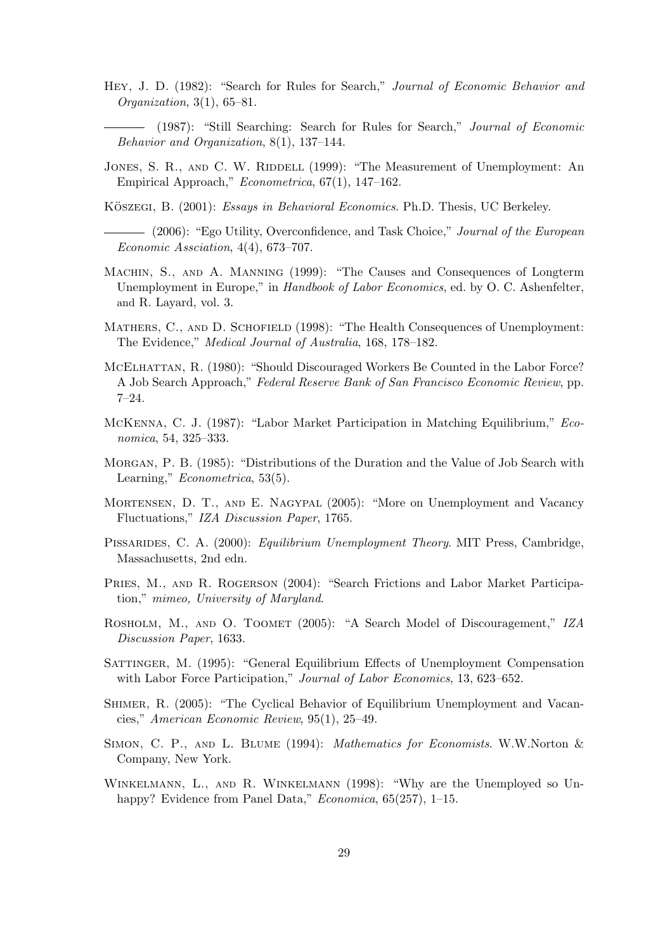- Hey, J. D. (1982): "Search for Rules for Search," *Journal of Economic Behavior and Organization*, 3(1), 65–81.
	- (1987): "Still Searching: Search for Rules for Search," *Journal of Economic Behavior and Organization*, 8(1), 137–144.
- JONES, S. R., AND C. W. RIDDELL (1999): "The Measurement of Unemployment: An Empirical Approach," *Econometrica*, 67(1), 147–162.
- KÖSZEGI, B. (2001): *Essays in Behavioral Economics*. Ph.D. Thesis, UC Berkeley.
- (2006): "Ego Utility, Overconfidence, and Task Choice," *Journal of the European Economic Assciation*, 4(4), 673–707.
- Machin, S., and A. Manning (1999): "The Causes and Consequences of Longterm Unemployment in Europe," in *Handbook of Labor Economics*, ed. by O. C. Ashenfelter, and R. Layard, vol. 3.
- MATHERS, C., AND D. SCHOFIELD (1998): "The Health Consequences of Unemployment: The Evidence," *Medical Journal of Australia*, 168, 178–182.
- MCELHATTAN, R. (1980): "Should Discouraged Workers Be Counted in the Labor Force? A Job Search Approach," *Federal Reserve Bank of San Francisco Economic Review*, pp. 7–24.
- McKenna, C. J. (1987): "Labor Market Participation in Matching Equilibrium," *Economica*, 54, 325–333.
- Morgan, P. B. (1985): "Distributions of the Duration and the Value of Job Search with Learning," *Econometrica*, 53(5).
- Mortensen, D. T., and E. Nagypal (2005): "More on Unemployment and Vacancy Fluctuations," *IZA Discussion Paper*, 1765.
- Pissarides, C. A. (2000): *Equilibrium Unemployment Theory*. MIT Press, Cambridge, Massachusetts, 2nd edn.
- PRIES, M., AND R. ROGERSON (2004): "Search Frictions and Labor Market Participation," *mimeo, University of Maryland*.
- Rosholm, M., and O. Toomet (2005): "A Search Model of Discouragement," *IZA Discussion Paper*, 1633.
- Sattinger, M. (1995): "General Equilibrium Effects of Unemployment Compensation with Labor Force Participation," *Journal of Labor Economics*, 13, 623–652.
- Shimer, R. (2005): "The Cyclical Behavior of Equilibrium Unemployment and Vacancies," *American Economic Review*, 95(1), 25–49.
- Simon, C. P., and L. Blume (1994): *Mathematics for Economists*. W.W.Norton & Company, New York.
- Winkelmann, L., and R. Winkelmann (1998): "Why are the Unemployed so Unhappy? Evidence from Panel Data," *Economica*, 65(257), 1–15.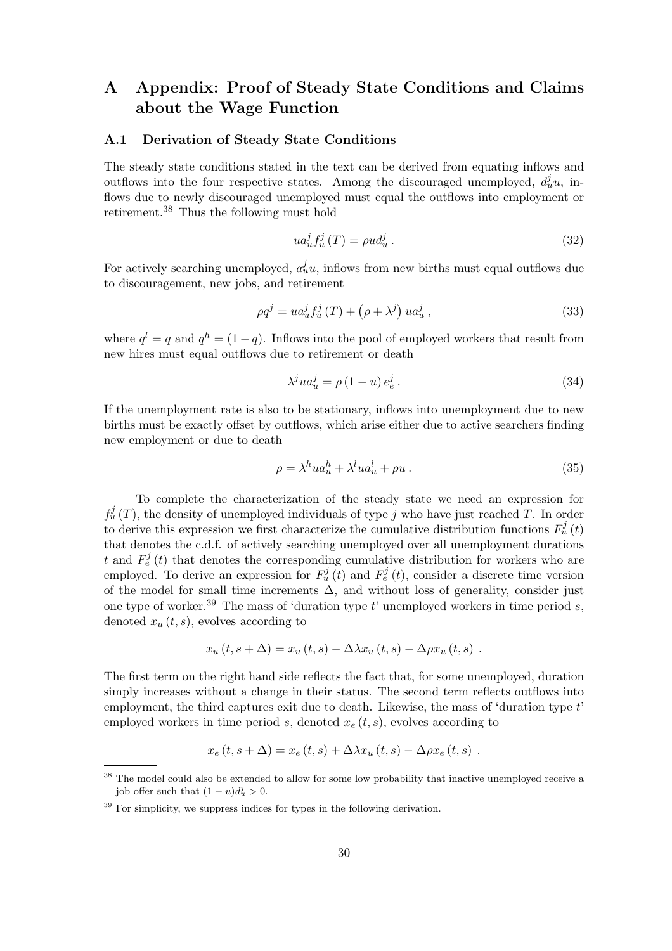## **A Appendix: Proof of Steady State Conditions and Claims about the Wage Function**

#### **A.1 Derivation of Steady State Conditions**

The steady state conditions stated in the text can be derived from equating inflows and outflows into the four respective states. Among the discouraged unemployed,  $d_u^j u$ , inflows due to newly discouraged unemployed must equal the outflows into employment or retirement.<sup>38</sup> Thus the following must hold

$$
ua_u^j f_u^j(T) = \rho u d_u^j. \tag{32}
$$

For actively searching unemployed,  $a_u^j u$ , inflows from new births must equal outflows due to discouragement, new jobs, and retirement

$$
\rho q^{j} = u a_{u}^{j} f_{u}^{j} (T) + (\rho + \lambda^{j}) u a_{u}^{j}, \qquad (33)
$$

where  $q^l = q$  and  $q^h = (1 - q)$ . Inflows into the pool of employed workers that result from new hires must equal outflows due to retirement or death

$$
\lambda^{j}ua_{u}^{j} = \rho \left(1 - u\right)e_{e}^{j}.
$$
\n(34)

If the unemployment rate is also to be stationary, inflows into unemployment due to new births must be exactly offset by outflows, which arise either due to active searchers finding new employment or due to death

$$
\rho = \lambda^h u a_u^h + \lambda^l u a_u^l + \rho u \,. \tag{35}
$$

To complete the characterization of the steady state we need an expression for  $f_u^j(T)$ , the density of unemployed individuals of type j who have just reached T. In order to derive this expression we first characterize the cumulative distribution functions  $F_u^j(t)$ that denotes the c.d.f. of actively searching unemployed over all unemployment durations t and  $F_e^j(t)$  that denotes the corresponding cumulative distribution for workers who are employed. To derive an expression for  $F^j_u(t)$  and  $F^j_e(t)$ , consider a discrete time version of the model for small time increments  $\Delta$ , and without loss of generality, consider just one type of worker.<sup>39</sup> The mass of 'duration type  $t$ ' unemployed workers in time period  $s$ , denoted  $x_u(t, s)$ , evolves according to

$$
x_u(t, s + \Delta) = x_u(t, s) - \Delta \lambda x_u(t, s) - \Delta \rho x_u(t, s) .
$$

The first term on the right hand side reflects the fact that, for some unemployed, duration simply increases without a change in their status. The second term reflects outflows into employment, the third captures exit due to death. Likewise, the mass of 'duration type  $t$ ' employed workers in time period s, denoted  $x_e(t, s)$ , evolves according to

$$
x_e(t, s + \Delta) = x_e(t, s) + \Delta \lambda x_u(t, s) - \Delta \rho x_e(t, s) .
$$

<sup>&</sup>lt;sup>38</sup> The model could also be extended to allow for some low probability that inactive unemployed receive a job offer such that  $(1 - u)d_u^j > 0$ .

 $39$  For simplicity, we suppress indices for types in the following derivation.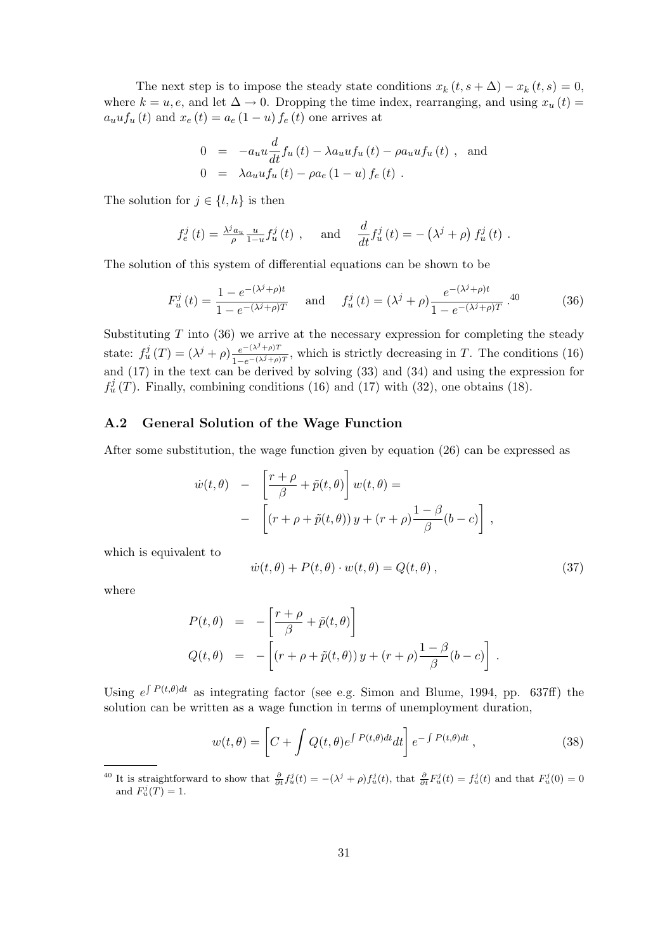The next step is to impose the steady state conditions  $x_k (t, s + \Delta) - x_k (t, s) = 0$ , where  $k = u, e$ , and let  $\Delta \to 0$ . Dropping the time index, rearranging, and using  $x_u(t) =$  $a_u u f_u(t)$  and  $x_e(t) = a_e (1 - u) f_e(t)$  one arrives at

$$
0 = -a_u u \frac{d}{dt} f_u(t) - \lambda a_u u f_u(t) - \rho a_u u f_u(t) , \text{ and}
$$
  
\n
$$
0 = \lambda a_u u f_u(t) - \rho a_e (1 - u) f_e(t) .
$$

The solution for  $j \in \{l, h\}$  is then

$$
f_e^j(t) = \frac{\lambda^j a_u}{\rho} \frac{u}{1-u} f_u^j(t) , \quad \text{and} \quad \frac{d}{dt} f_u^j(t) = -(\lambda^j + \rho) f_u^j(t) .
$$

The solution of this system of differential equations can be shown to be

$$
F_u^j(t) = \frac{1 - e^{-(\lambda^j + \rho)t}}{1 - e^{-(\lambda^j + \rho)T}} \quad \text{and} \quad f_u^j(t) = (\lambda^j + \rho) \frac{e^{-(\lambda^j + \rho)t}}{1 - e^{-(\lambda^j + \rho)T}}.40 \tag{36}
$$

Substituting  $T$  into (36) we arrive at the necessary expression for completing the steady state:  $f_u^j(T) = (\lambda^j + \rho) \frac{e^{-(\lambda^j + \rho)T}}{1 - e^{-(\lambda^j + \rho)T}}$ , which is strictly decreasing in T. The conditions (16) and (17) in the text can be derived by solving (33) and (34) and using the expression for  $f_u^j(T)$ . Finally, combining conditions (16) and (17) with (32), one obtains (18).

#### **A.2 General Solution of the Wage Function**

After some substitution, the wage function given by equation (26) can be expressed as

$$
\dot{w}(t,\theta) - \left[\frac{r+\rho}{\beta} + \tilde{p}(t,\theta)\right]w(t,\theta) =
$$
  
- 
$$
\left[ (r+\rho + \tilde{p}(t,\theta))y + (r+\rho)\frac{1-\beta}{\beta}(b-c) \right],
$$

which is equivalent to

$$
\dot{w}(t,\theta) + P(t,\theta) \cdot w(t,\theta) = Q(t,\theta) , \qquad (37)
$$

where

$$
P(t, \theta) = -\left[\frac{r+\rho}{\beta} + \tilde{p}(t, \theta)\right]
$$
  

$$
Q(t, \theta) = -\left[(r+\rho+\tilde{p}(t, \theta))y + (r+\rho)\frac{1-\beta}{\beta}(b-c)\right].
$$

Using  $e^{\int P(t,\theta)dt}$  as integrating factor (see e.g. Simon and Blume, 1994, pp. 637ff) the solution can be written as a wage function in terms of unemployment duration,

$$
w(t,\theta) = \left[C + \int Q(t,\theta)e^{\int P(t,\theta)dt}dt\right]e^{-\int P(t,\theta)dt},\qquad(38)
$$

<sup>&</sup>lt;sup>40</sup> It is straightforward to show that  $\frac{\partial}{\partial t} f_u^j(t) = -(\lambda^j + \rho) f_u^j(t)$ , that  $\frac{\partial}{\partial t} F_u^j(t) = f_u^j(t)$  and that  $F_u^j(0) = 0$ and  $F_u^j(T) = 1$ .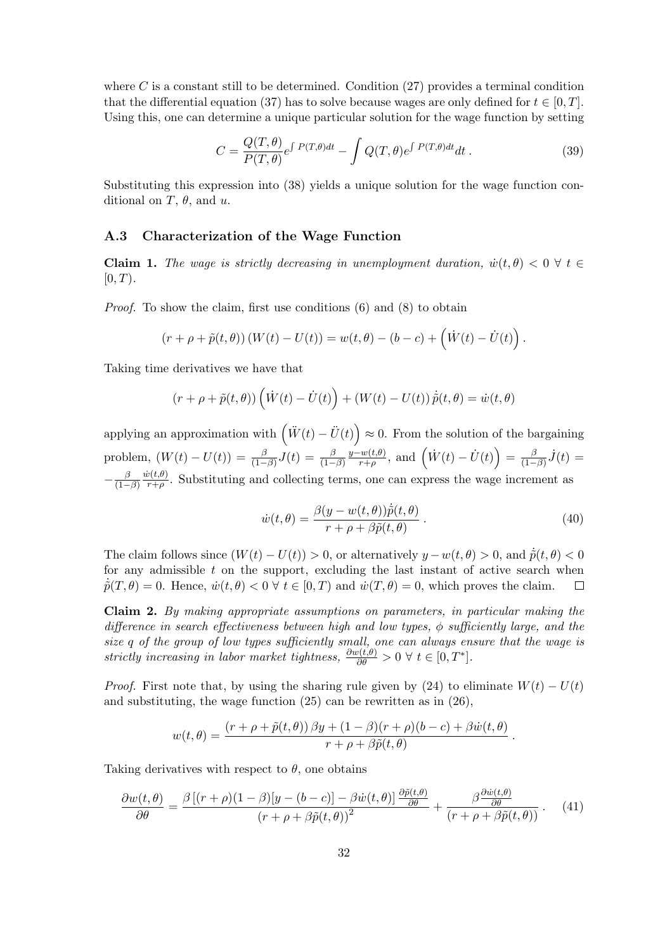where  $C$  is a constant still to be determined. Condition  $(27)$  provides a terminal condition that the differential equation (37) has to solve because wages are only defined for  $t \in [0, T]$ . Using this, one can determine a unique particular solution for the wage function by setting

$$
C = \frac{Q(T,\theta)}{P(T,\theta)} e^{\int P(T,\theta)dt} - \int Q(T,\theta) e^{\int P(T,\theta)dt} dt.
$$
 (39)

Substituting this expression into (38) yields a unique solution for the wage function conditional on T,  $\theta$ , and u.

#### **A.3 Characterization of the Wage Function**

**Claim 1.** *The wage is strictly decreasing in unemployment duration,*  $\dot{w}(t, \theta) < 0 \ \forall t \in$  $[0, T)$ .

*Proof.* To show the claim, first use conditions (6) and (8) to obtain

$$
(r + \rho + \tilde{p}(t, \theta)) (W(t) - U(t)) = w(t, \theta) - (b - c) + (\dot{W}(t) - \dot{U}(t)).
$$

Taking time derivatives we have that

$$
(r + \rho + \tilde{p}(t, \theta)) \left(\dot{W}(t) - \dot{U}(t)\right) + \left(W(t) - U(t)\right) \dot{\tilde{p}}(t, \theta) = \dot{w}(t, \theta)
$$

applying an approximation with  $(\ddot{W}(t) - \ddot{U}(t)) \approx 0$ . From the solution of the bargaining problem,  $(W(t) - U(t)) = \frac{\beta}{(1-\beta)}J(t) = \frac{\beta}{(1-\beta)}$  $\frac{y-w(t,\theta)}{r+\rho}$ , and  $\left(\dot{W}(t)-\dot{U}(t)\right) = \frac{\beta}{(1-\beta)}\dot{J}(t) =$  $-\frac{\beta}{(1-\beta)}$  $\frac{\dot{w}(t,\theta)}{r+\rho}$ . Substituting and collecting terms, one can express the wage increment as

$$
\dot{w}(t,\theta) = \frac{\beta(y - w(t,\theta))\dot{\tilde{p}}(t,\theta)}{r + \rho + \beta \tilde{p}(t,\theta)}.
$$
\n(40)

The claim follows since  $(W(t) - U(t)) > 0$ , or alternatively  $y - w(t, \theta) > 0$ , and  $\tilde{p}(t, \theta) < 0$ for any admissible  $t$  on the support, excluding the last instant of active search when  $\tilde{p}(T,\theta) = 0$ . Hence,  $\dot{w}(t,\theta) < 0 \ \forall t \in [0,T)$  and  $\dot{w}(T,\theta) = 0$ , which proves the claim.  $\Box$ 

**Claim 2.** *By making appropriate assumptions on parameters, in particular making the difference in search effectiveness between high and low types,* φ *sufficiently large, and the size* q *of the group of low types sufficiently small, one can always ensure that the wage is* strictly increasing in labor market tightness,  $\frac{\partial w(t,\theta)}{\partial \theta} > 0 \ \forall \ t \in [0,T^*].$ 

*Proof.* First note that, by using the sharing rule given by (24) to eliminate  $W(t) - U(t)$ and substituting, the wage function (25) can be rewritten as in (26),

$$
w(t,\theta) = \frac{(r+\rho+\tilde{p}(t,\theta))\,\beta y + (1-\beta)(r+\rho)(b-c) + \beta \dot{w}(t,\theta)}{r+\rho+\beta \tilde{p}(t,\theta)}.
$$

Taking derivatives with respect to  $\theta$ , one obtains

$$
\frac{\partial w(t,\theta)}{\partial \theta} = \frac{\beta \left[ (r+\rho)(1-\beta)[y-(b-c)] - \beta \dot{w}(t,\theta) \right] \frac{\partial \tilde{p}(t,\theta)}{\partial \theta}}{(r+\rho+\beta \tilde{p}(t,\theta))^2} + \frac{\beta \frac{\partial \dot{w}(t,\theta)}{\partial \theta}}{(r+\rho+\beta \tilde{p}(t,\theta))}. \tag{41}
$$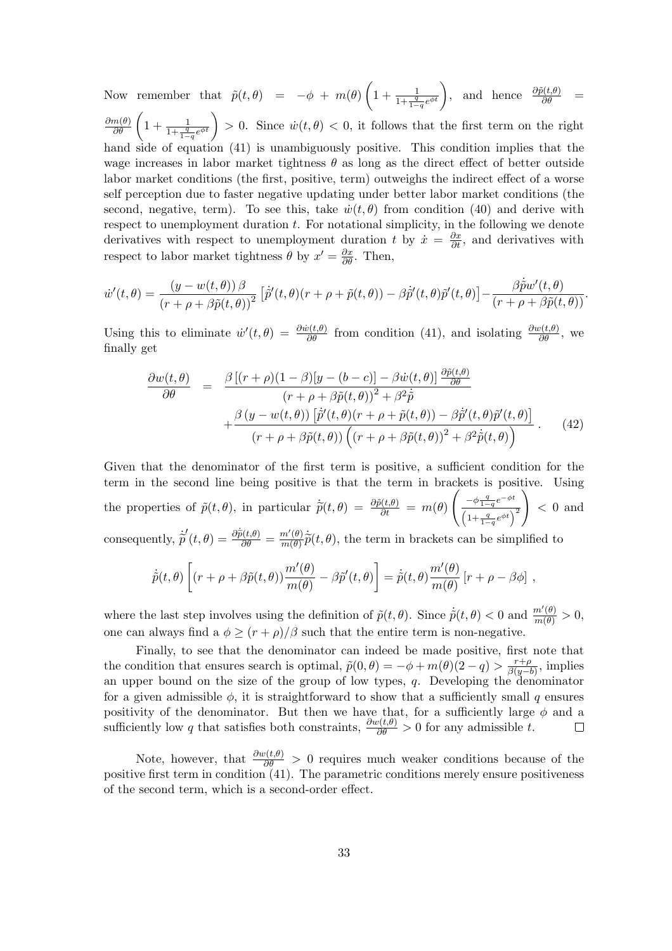Now remember that  $\tilde{p}(t, \theta) = -\phi + m(\theta) \left(1 + \frac{1}{1 + \frac{q}{1-q} e^{\phi t}}\right)$ , and hence  $\frac{\partial \tilde{p}(t, \theta)}{\partial \theta}$  $\frac{\partial m(\theta)}{\partial \theta} \left(1 + \frac{1}{1 + \frac{q}{1-q}e^{\phi t}}\right) > 0.$  Since  $\dot{w}(t, \theta) < 0$ , it follows that the first term on the right hand side of equation (41) is unambiguously positive. This condition implies that the wage increases in labor market tightness  $\theta$  as long as the direct effect of better outside labor market conditions (the first, positive, term) outweighs the indirect effect of a worse self perception due to faster negative updating under better labor market conditions (the second, negative, term). To see this, take  $\dot{w}(t, \theta)$  from condition (40) and derive with respect to unemployment duration t. For notational simplicity, in the following we denote derivatives with respect to unemployment duration t by  $\dot{x} = \frac{\partial x}{\partial t}$ , and derivatives with respect to labor market tightness  $\theta$  by  $x' = \frac{\partial x}{\partial \theta}$ . Then,

$$
\dot{w}'(t,\theta) = \frac{(y - w(t,\theta))\beta}{(r + \rho + \beta\tilde{p}(t,\theta))^2} \left[\dot{\tilde{p}}'(t,\theta)(r + \rho + \tilde{p}(t,\theta)) - \beta\dot{\tilde{p}}'(t,\theta)\tilde{p}'(t,\theta)\right] - \frac{\beta\dot{\tilde{p}}w'(t,\theta)}{(r + \rho + \beta\tilde{p}(t,\theta))}.
$$

Using this to eliminate  $\dot{w}'(t, \theta) = \frac{\partial \dot{w}(t, \theta)}{\partial \theta}$  from condition (41), and isolating  $\frac{\partial w(t, \theta)}{\partial \theta}$ , we finally get

$$
\frac{\partial w(t,\theta)}{\partial \theta} = \frac{\beta \left[ (r+\rho)(1-\beta)[y-(b-c)] - \beta \dot{w}(t,\theta) \right] \frac{\partial \tilde{p}(t,\theta)}{\partial \theta}}{(r+\rho+\beta \tilde{p}(t,\theta))^2 + \beta^2 \dot{\tilde{p}} + \frac{\beta (y-w(t,\theta)) \left[ \dot{\tilde{p}}'(t,\theta)(r+\rho+\tilde{p}(t,\theta)) - \beta \dot{\tilde{p}}'(t,\theta) \tilde{p}'(t,\theta) \right]}{(r+\rho+\beta \tilde{p}(t,\theta)) \left( (r+\rho+\beta \tilde{p}(t,\theta))^2 + \beta^2 \dot{\tilde{p}}(t,\theta) \right)}.
$$
(42)

Given that the denominator of the first term is positive, a sufficient condition for the term in the second line being positive is that the term in brackets is positive. Using the properties of  $\tilde{p}(t, \theta)$ , in particular  $\dot{\tilde{p}}(t, \theta) = \frac{\partial \tilde{p}(t, \theta)}{\partial t} = m(\theta)$  $\int -\phi \frac{q}{1-q} e^{-\phi t}$  $\left(1+\frac{q}{1-q}e^{\phi t}\right)^2$  $\setminus$  $< 0$  and consequently,  $\dot{\tilde{p}}(t,\theta) = \frac{\partial \dot{\tilde{p}}(t,\theta)}{\partial \theta} = \frac{m'(\theta)}{m(\theta)}$  $\frac{m'(\theta)}{m(\theta)}\tilde{p}(t,\theta)$ , the term in brackets can be simplified to

$$
\dot{\tilde{p}}(t,\theta)\left[(r+\rho+\beta\tilde{p}(t,\theta))\frac{m'(\theta)}{m(\theta)}-\beta\tilde{p}'(t,\theta)\right]=\dot{\tilde{p}}(t,\theta)\frac{m'(\theta)}{m(\theta)}\left[r+\rho-\beta\phi\right]\,,
$$

where the last step involves using the definition of  $\tilde{p}(t, \theta)$ . Since  $\dot{\tilde{p}}(t, \theta) < 0$  and  $\frac{m'(\theta)}{m(\theta)} > 0$ , one can always find a  $\phi \ge (r + \rho)/\beta$  such that the entire term is non-negative.

Finally, to see that the denominator can indeed be made positive, first note that the condition that ensures search is optimal,  $\tilde{p}(0, \theta) = -\phi + m(\theta)(2 - q) > \frac{r+\rho}{\beta(q-b)}$ , implies an upper bound on the size of the group of low types,  $q$ . Developing the denominator for a given admissible  $\phi$ , it is straightforward to show that a sufficiently small q ensures positivity of the denominator. But then we have that, for a sufficiently large  $\phi$  and a sufficiently low q that satisfies both constraints,  $\frac{\partial w(t,\theta)}{\partial \theta} > 0$  for any admissible t.  $\Box$ 

Note, however, that  $\frac{\partial w(t,\theta)}{\partial \theta} > 0$  requires much weaker conditions because of the positive first term in condition (41). The parametric conditions merely ensure positiveness of the second term, which is a second-order effect.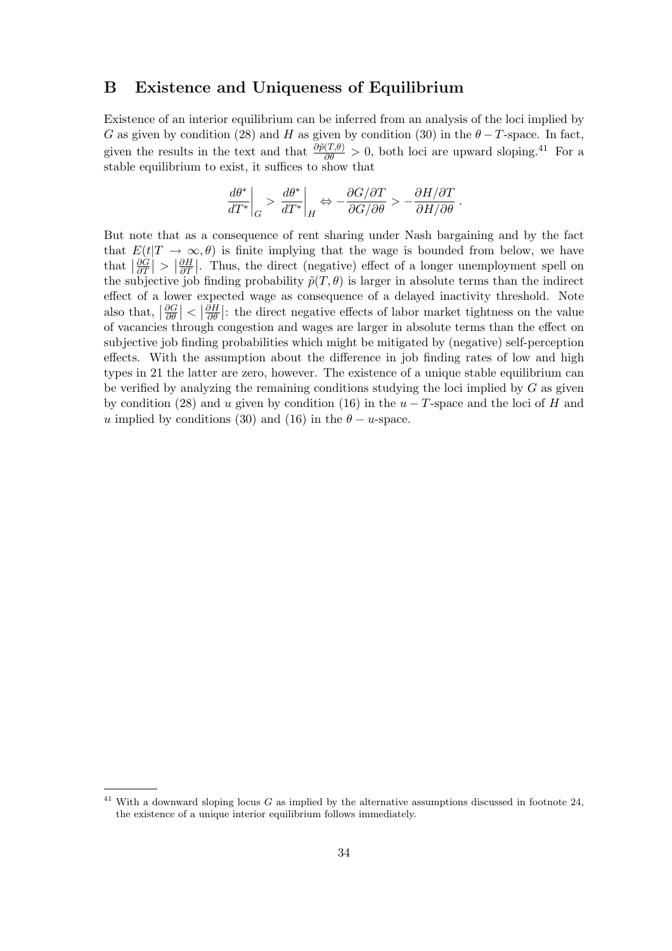### **B Existence and Uniqueness of Equilibrium**

Existence of an interior equilibrium can be inferred from an analysis of the loci implied by G as given by condition (28) and H as given by condition (30) in the  $\theta - T$ -space. In fact, given the results in the text and that  $\frac{\partial \tilde{p}(T,\theta)}{\partial \theta} > 0$ , both loci are upward sloping.<sup>41</sup> For a stable equilibrium to exist, it suffices to show that

$$
\left.\frac{d\theta^*}{dT^*}\right|_G > \left.\frac{d\theta^*}{dT^*}\right|_H \Leftrightarrow -\frac{\partial G/\partial T}{\partial G/\partial \theta} > -\frac{\partial H/\partial T}{\partial H/\partial \theta}\;.
$$

But note that as a consequence of rent sharing under Nash bargaining and by the fact that  $E(t|T \to \infty, \theta)$  is finite implying that the wage is bounded from below, we have that  $\left|\frac{\partial \hat{G}}{\partial T}\right|$  $\frac{\partial \grave{G}}{\partial T}\Bigr|>\bigl|\frac{\partial H}{\partial T}$  $\frac{\partial H}{\partial T}$ . Thus, the direct (negative) effect of a longer unemployment spell on the subjective job finding probability  $\tilde{p}(T,\theta)$  is larger in absolute terms than the indirect effect of a lower expected wage as consequence of a delayed inactivity threshold. Note also that,  $\left| \frac{\partial G}{\partial \theta} \right|$  $\left|\frac{\partial G}{\partial \theta}\right|<\left|\frac{\partial H}{\partial \theta}\right|$  $\frac{\partial H}{\partial \theta}$ : the direct negative effects of labor market tightness on the value of vacancies through congestion and wages are larger in absolute terms than the effect on subjective job finding probabilities which might be mitigated by (negative) self-perception effects. With the assumption about the difference in job finding rates of low and high types in 21 the latter are zero, however. The existence of a unique stable equilibrium can be verified by analyzing the remaining conditions studying the loci implied by  $G$  as given by condition (28) and u given by condition (16) in the  $u - T$ -space and the loci of H and u implied by conditions (30) and (16) in the  $\theta - u$ -space.

<sup>&</sup>lt;sup>41</sup> With a downward sloping locus G as implied by the alternative assumptions discussed in footnote  $24$ , the existence of a unique interior equilibrium follows immediately.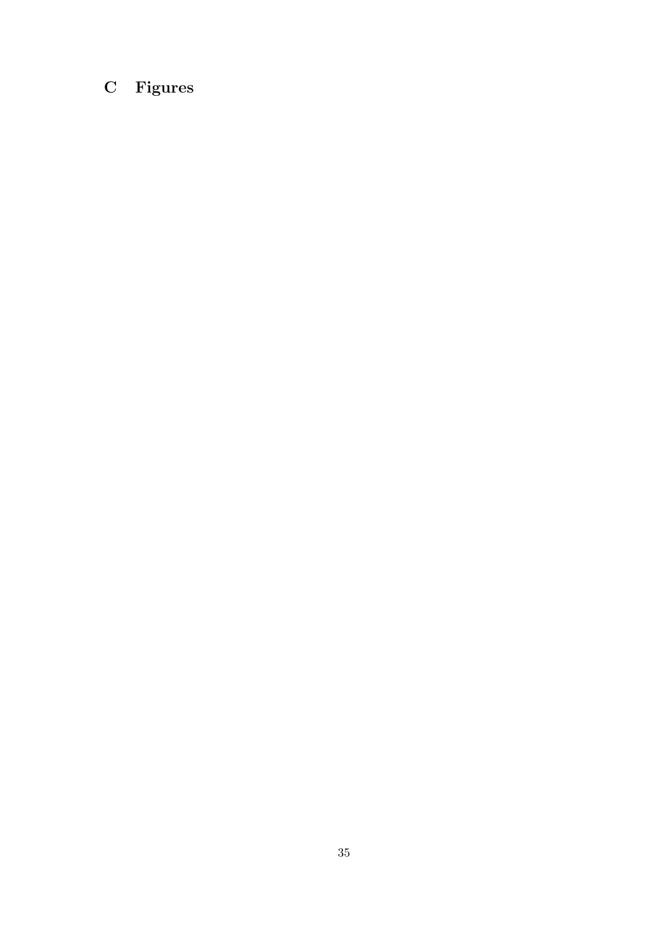# **C Figures**